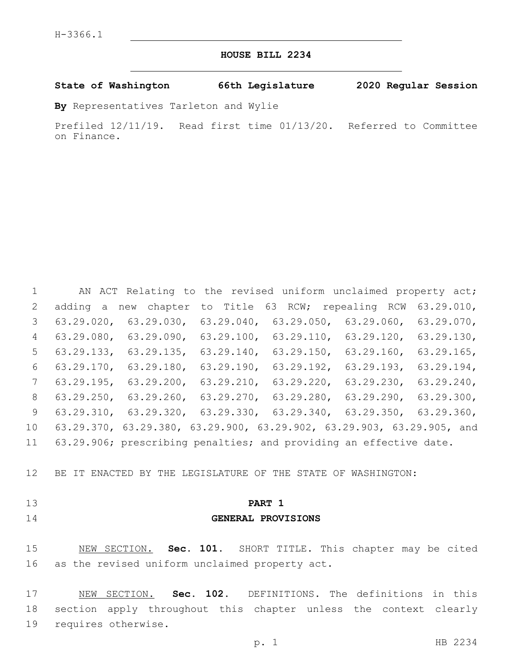# **HOUSE BILL 2234**

## **State of Washington 66th Legislature 2020 Regular Session**

**By** Representatives Tarleton and Wylie

Prefiled 12/11/19. Read first time 01/13/20. Referred to Committee on Finance.

|                 |               | AN ACT Relating to the revised uniform unclaimed property act;                      |               |               |               |               |
|-----------------|---------------|-------------------------------------------------------------------------------------|---------------|---------------|---------------|---------------|
| 2               |               | adding a new chapter to Title 63 RCW; repealing RCW 63.29.010,                      |               |               |               |               |
| 3               | 63.29.020,    | 63.29.030, 63.29.040, 63.29.050,                                                    |               |               | 63.29.060,    | $63.29.070$ , |
| $4\overline{ }$ |               | $63.29.080, 63.29.090, 63.29.100, 63.29.110, 63.29.120, 63.29.130,$                 |               |               |               |               |
| 5 <sup>5</sup>  |               | 63.29.133, 63.29.135,                                                               | $63.29.140$ , | $63.29.150$ , | $63.29.160$ , | $63.29.165$ , |
| 6               | $63.29.170$ , | $63.29.180$ ,                                                                       | $63.29.190$ , | $63.29.192$ , | $63.29.193$ , | 63.29.194,    |
| $7\phantom{0}$  |               | $63.29.195$ , $63.29.200$ , $63.29.210$ ,                                           |               | $63.29.220$ , | $63.29.230$ , | $63.29.240$ , |
| 8               | $63.29.250$ , | $63.29.260, 63.29.270, 63.29.280, 63.29.290, 63.29.300,$                            |               |               |               |               |
| 9               |               | $63.29.310$ , $63.29.320$ , $63.29.330$ , $63.29.340$ , $63.29.350$ , $63.29.360$ , |               |               |               |               |
| 10              |               | 63.29.370, 63.29.380, 63.29.900, 63.29.902, 63.29.903, 63.29.905, and               |               |               |               |               |
| 11              |               | 63.29.906; prescribing penalties; and providing an effective date.                  |               |               |               |               |

BE IT ENACTED BY THE LEGISLATURE OF THE STATE OF WASHINGTON:

- 
- 

#### **PART 1**

# **GENERAL PROVISIONS**

 NEW SECTION. **Sec. 101.** SHORT TITLE. This chapter may be cited as the revised uniform unclaimed property act.

 NEW SECTION. **Sec. 102.** DEFINITIONS. The definitions in this section apply throughout this chapter unless the context clearly requires otherwise.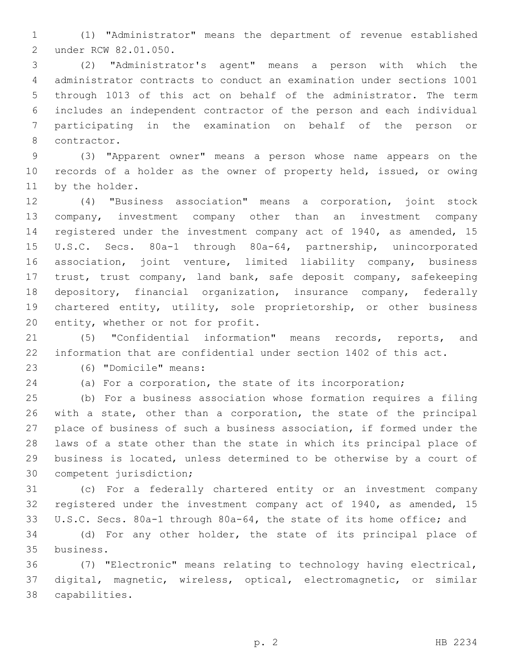(1) "Administrator" means the department of revenue established under RCW 82.01.050.2

 (2) "Administrator's agent" means a person with which the administrator contracts to conduct an examination under sections 1001 through 1013 of this act on behalf of the administrator. The term includes an independent contractor of the person and each individual participating in the examination on behalf of the person or 8 contractor.

 (3) "Apparent owner" means a person whose name appears on the records of a holder as the owner of property held, issued, or owing 11 by the holder.

 (4) "Business association" means a corporation, joint stock company, investment company other than an investment company registered under the investment company act of 1940, as amended, 15 U.S.C. Secs. 80a-1 through 80a-64, partnership, unincorporated association, joint venture, limited liability company, business trust, trust company, land bank, safe deposit company, safekeeping depository, financial organization, insurance company, federally chartered entity, utility, sole proprietorship, or other business 20 entity, whether or not for profit.

 (5) "Confidential information" means records, reports, and information that are confidential under section 1402 of this act.

(6) "Domicile" means:23

(a) For a corporation, the state of its incorporation;

 (b) For a business association whose formation requires a filing with a state, other than a corporation, the state of the principal place of business of such a business association, if formed under the laws of a state other than the state in which its principal place of business is located, unless determined to be otherwise by a court of 30 competent jurisdiction;

 (c) For a federally chartered entity or an investment company registered under the investment company act of 1940, as amended, 15 U.S.C. Secs. 80a-1 through 80a-64, the state of its home office; and

 (d) For any other holder, the state of its principal place of business.35

 (7) "Electronic" means relating to technology having electrical, digital, magnetic, wireless, optical, electromagnetic, or similar capabilities.38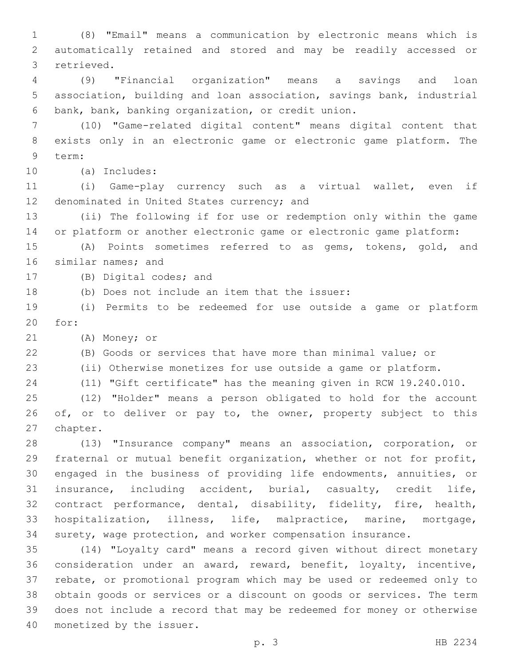(8) "Email" means a communication by electronic means which is automatically retained and stored and may be readily accessed or 3 retrieved.

 (9) "Financial organization" means a savings and loan association, building and loan association, savings bank, industrial 6 bank, bank, banking organization, or credit union.

 (10) "Game-related digital content" means digital content that exists only in an electronic game or electronic game platform. The 9 term:

(a) Includes:10

 (i) Game-play currency such as a virtual wallet, even if 12 denominated in United States currency; and

 (ii) The following if for use or redemption only within the game or platform or another electronic game or electronic game platform:

 (A) Points sometimes referred to as gems, tokens, gold, and 16 similar names; and

17 (B) Digital codes; and

18 (b) Does not include an item that the issuer:

 (i) Permits to be redeemed for use outside a game or platform 20 for:

21 (A) Money; or

(B) Goods or services that have more than minimal value; or

(ii) Otherwise monetizes for use outside a game or platform.

(11) "Gift certificate" has the meaning given in RCW 19.240.010.

 (12) "Holder" means a person obligated to hold for the account 26 of, or to deliver or pay to, the owner, property subject to this 27 chapter.

 (13) "Insurance company" means an association, corporation, or fraternal or mutual benefit organization, whether or not for profit, engaged in the business of providing life endowments, annuities, or insurance, including accident, burial, casualty, credit life, contract performance, dental, disability, fidelity, fire, health, hospitalization, illness, life, malpractice, marine, mortgage, surety, wage protection, and worker compensation insurance.

 (14) "Loyalty card" means a record given without direct monetary consideration under an award, reward, benefit, loyalty, incentive, rebate, or promotional program which may be used or redeemed only to obtain goods or services or a discount on goods or services. The term does not include a record that may be redeemed for money or otherwise 40 monetized by the issuer.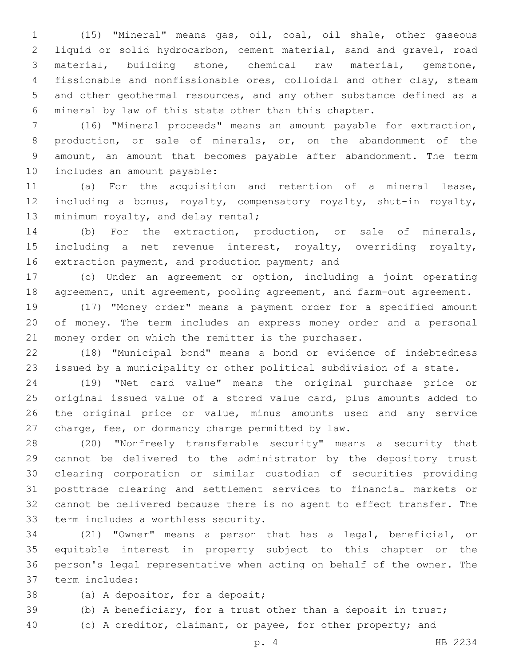(15) "Mineral" means gas, oil, coal, oil shale, other gaseous liquid or solid hydrocarbon, cement material, sand and gravel, road material, building stone, chemical raw material, gemstone, fissionable and nonfissionable ores, colloidal and other clay, steam and other geothermal resources, and any other substance defined as a mineral by law of this state other than this chapter.

 (16) "Mineral proceeds" means an amount payable for extraction, production, or sale of minerals, or, on the abandonment of the amount, an amount that becomes payable after abandonment. The term 10 includes an amount payable:

 (a) For the acquisition and retention of a mineral lease, including a bonus, royalty, compensatory royalty, shut-in royalty, 13 minimum royalty, and delay rental;

 (b) For the extraction, production, or sale of minerals, including a net revenue interest, royalty, overriding royalty, 16 extraction payment, and production payment; and

 (c) Under an agreement or option, including a joint operating agreement, unit agreement, pooling agreement, and farm-out agreement.

 (17) "Money order" means a payment order for a specified amount of money. The term includes an express money order and a personal money order on which the remitter is the purchaser.

 (18) "Municipal bond" means a bond or evidence of indebtedness issued by a municipality or other political subdivision of a state.

 (19) "Net card value" means the original purchase price or original issued value of a stored value card, plus amounts added to the original price or value, minus amounts used and any service 27 charge, fee, or dormancy charge permitted by law.

 (20) "Nonfreely transferable security" means a security that cannot be delivered to the administrator by the depository trust clearing corporation or similar custodian of securities providing posttrade clearing and settlement services to financial markets or cannot be delivered because there is no agent to effect transfer. The 33 term includes a worthless security.

 (21) "Owner" means a person that has a legal, beneficial, or equitable interest in property subject to this chapter or the person's legal representative when acting on behalf of the owner. The term includes:37

- 38 (a) A depositor, for a deposit;
- (b) A beneficiary, for a trust other than a deposit in trust;
- (c) A creditor, claimant, or payee, for other property; and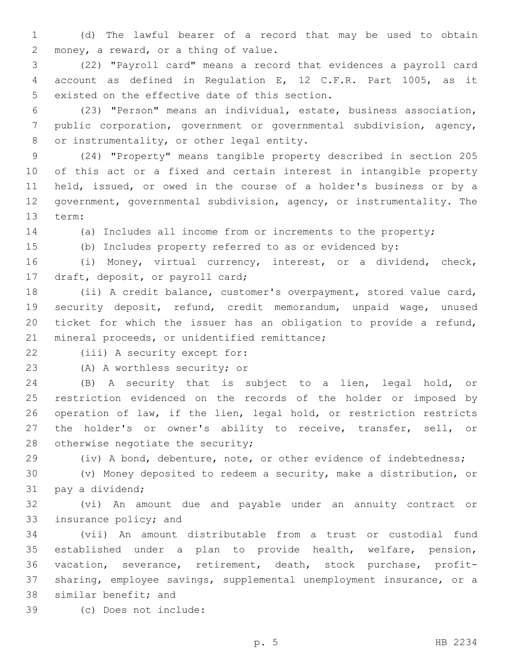(d) The lawful bearer of a record that may be used to obtain 2 money, a reward, or a thing of value.

 (22) "Payroll card" means a record that evidences a payroll card account as defined in Regulation E, 12 C.F.R. Part 1005, as it 5 existed on the effective date of this section.

 (23) "Person" means an individual, estate, business association, public corporation, government or governmental subdivision, agency, 8 or instrumentality, or other legal entity.

 (24) "Property" means tangible property described in section 205 of this act or a fixed and certain interest in intangible property held, issued, or owed in the course of a holder's business or by a government, governmental subdivision, agency, or instrumentality. The 13 term:

(a) Includes all income from or increments to the property;

(b) Includes property referred to as or evidenced by:

 (i) Money, virtual currency, interest, or a dividend, check, 17 draft, deposit, or payroll card;

 (ii) A credit balance, customer's overpayment, stored value card, security deposit, refund, credit memorandum, unpaid wage, unused ticket for which the issuer has an obligation to provide a refund, 21 mineral proceeds, or unidentified remittance;

22 (iii) A security except for:

23 (A) A worthless security; or

 (B) A security that is subject to a lien, legal hold, or restriction evidenced on the records of the holder or imposed by operation of law, if the lien, legal hold, or restriction restricts the holder's or owner's ability to receive, transfer, sell, or 28 otherwise negotiate the security;

(iv) A bond, debenture, note, or other evidence of indebtedness;

 (v) Money deposited to redeem a security, make a distribution, or 31 pay a dividend;

 (vi) An amount due and payable under an annuity contract or 33 insurance policy; and

 (vii) An amount distributable from a trust or custodial fund established under a plan to provide health, welfare, pension, vacation, severance, retirement, death, stock purchase, profit- sharing, employee savings, supplemental unemployment insurance, or a 38 similar benefit; and

(c) Does not include:39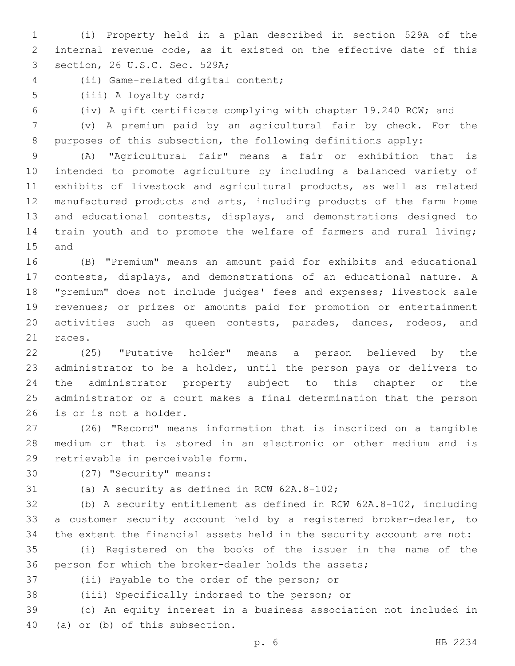(i) Property held in a plan described in section 529A of the internal revenue code, as it existed on the effective date of this 3 section, 26 U.S.C. Sec. 529A;

- (ii) Game-related digital content;4
- 5 (iii) A loyalty card;
- 

(iv) A gift certificate complying with chapter 19.240 RCW; and

 (v) A premium paid by an agricultural fair by check. For the purposes of this subsection, the following definitions apply:

 (A) "Agricultural fair" means a fair or exhibition that is intended to promote agriculture by including a balanced variety of exhibits of livestock and agricultural products, as well as related manufactured products and arts, including products of the farm home and educational contests, displays, and demonstrations designed to train youth and to promote the welfare of farmers and rural living; 15 and

 (B) "Premium" means an amount paid for exhibits and educational contests, displays, and demonstrations of an educational nature. A "premium" does not include judges' fees and expenses; livestock sale revenues; or prizes or amounts paid for promotion or entertainment activities such as queen contests, parades, dances, rodeos, and 21 races.

 (25) "Putative holder" means a person believed by the administrator to be a holder, until the person pays or delivers to the administrator property subject to this chapter or the administrator or a court makes a final determination that the person 26 is or is not a holder.

 (26) "Record" means information that is inscribed on a tangible medium or that is stored in an electronic or other medium and is 29 retrievable in perceivable form.

30 (27) "Security" means:

31 (a) A security as defined in RCW 62A.8-102;

 (b) A security entitlement as defined in RCW 62A.8-102, including a customer security account held by a registered broker-dealer, to the extent the financial assets held in the security account are not:

 (i) Registered on the books of the issuer in the name of the person for which the broker-dealer holds the assets;

37 (ii) Payable to the order of the person; or

38 (iii) Specifically indorsed to the person; or

 (c) An equity interest in a business association not included in 40 (a) or (b) of this subsection.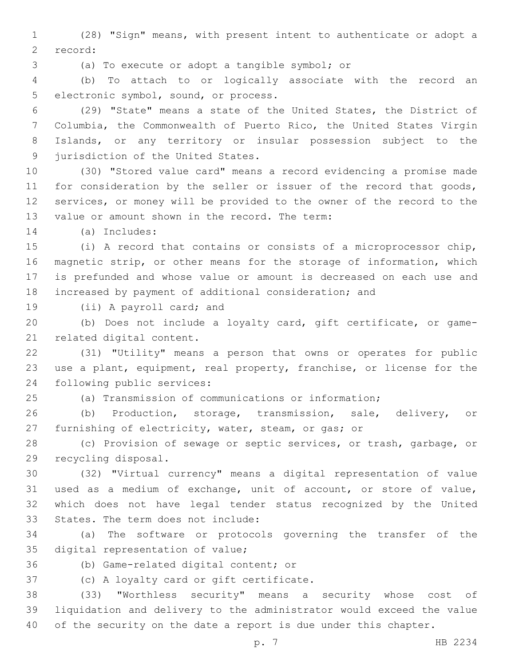1 (28) "Sign" means, with present intent to authenticate or adopt a 2 record:

(a) To execute or adopt a tangible symbol; or3

4 (b) To attach to or logically associate with the record an 5 electronic symbol, sound, or process.

 (29) "State" means a state of the United States, the District of Columbia, the Commonwealth of Puerto Rico, the United States Virgin Islands, or any territory or insular possession subject to the 9 jurisdiction of the United States.

10 (30) "Stored value card" means a record evidencing a promise made 11 for consideration by the seller or issuer of the record that goods, 12 services, or money will be provided to the owner of the record to the 13 value or amount shown in the record. The term:

(a) Includes:14

 (i) A record that contains or consists of a microprocessor chip, magnetic strip, or other means for the storage of information, which is prefunded and whose value or amount is decreased on each use and increased by payment of additional consideration; and

19 (ii) A payroll card; and

20 (b) Does not include a loyalty card, gift certificate, or game-21 related digital content.

22 (31) "Utility" means a person that owns or operates for public 23 use a plant, equipment, real property, franchise, or license for the 24 following public services:

25 (a) Transmission of communications or information;

26 (b) Production, storage, transmission, sale, delivery, or 27 furnishing of electricity, water, steam, or gas; or

28 (c) Provision of sewage or septic services, or trash, garbage, or 29 recycling disposal.

 (32) "Virtual currency" means a digital representation of value used as a medium of exchange, unit of account, or store of value, which does not have legal tender status recognized by the United 33 States. The term does not include:

34 (a) The software or protocols governing the transfer of the 35 digital representation of value;

36 (b) Game-related digital content; or

37 (c) A loyalty card or gift certificate.

38 (33) "Worthless security" means a security whose cost of 39 liquidation and delivery to the administrator would exceed the value 40 of the security on the date a report is due under this chapter.

p. 7 HB 2234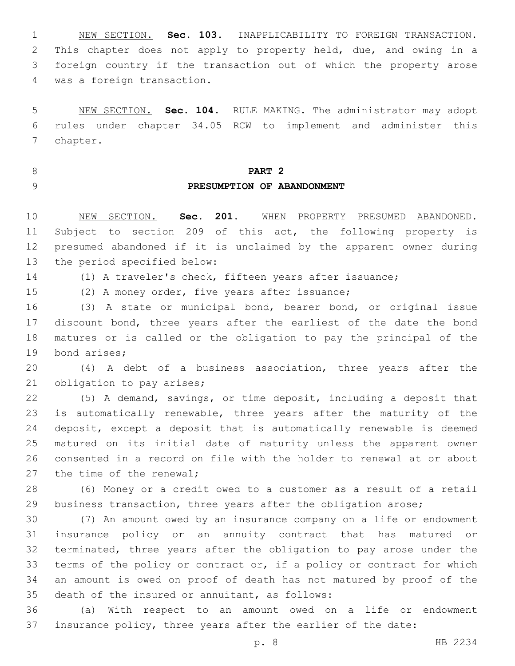NEW SECTION. **Sec. 103.** INAPPLICABILITY TO FOREIGN TRANSACTION. This chapter does not apply to property held, due, and owing in a foreign country if the transaction out of which the property arose was a foreign transaction.

 NEW SECTION. **Sec. 104.** RULE MAKING. The administrator may adopt rules under chapter 34.05 RCW to implement and administer this chapter.

**PART 2**

# **PRESUMPTION OF ABANDONMENT**

 NEW SECTION. **Sec. 201.** WHEN PROPERTY PRESUMED ABANDONED. Subject to section 209 of this act, the following property is presumed abandoned if it is unclaimed by the apparent owner during the period specified below:

(1) A traveler's check, fifteen years after issuance;

15 (2) A money order, five years after issuance;

 (3) A state or municipal bond, bearer bond, or original issue discount bond, three years after the earliest of the date the bond matures or is called or the obligation to pay the principal of the 19 bond arises;

 (4) A debt of a business association, three years after the 21 obligation to pay arises;

 (5) A demand, savings, or time deposit, including a deposit that is automatically renewable, three years after the maturity of the deposit, except a deposit that is automatically renewable is deemed matured on its initial date of maturity unless the apparent owner consented in a record on file with the holder to renewal at or about 27 the time of the renewal;

 (6) Money or a credit owed to a customer as a result of a retail business transaction, three years after the obligation arose;

 (7) An amount owed by an insurance company on a life or endowment insurance policy or an annuity contract that has matured or terminated, three years after the obligation to pay arose under the terms of the policy or contract or, if a policy or contract for which an amount is owed on proof of death has not matured by proof of the 35 death of the insured or annuitant, as follows:

 (a) With respect to an amount owed on a life or endowment insurance policy, three years after the earlier of the date: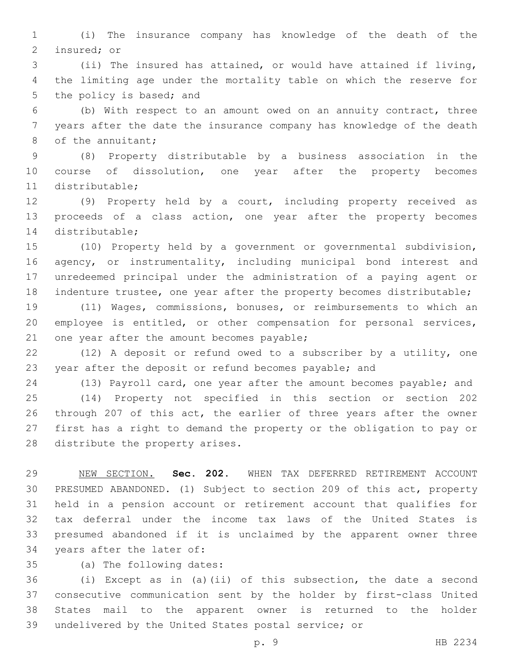(i) The insurance company has knowledge of the death of the 2 insured; or

 (ii) The insured has attained, or would have attained if living, the limiting age under the mortality table on which the reserve for 5 the policy is based; and

 (b) With respect to an amount owed on an annuity contract, three years after the date the insurance company has knowledge of the death 8 of the annuitant;

 (8) Property distributable by a business association in the course of dissolution, one year after the property becomes 11 distributable;

 (9) Property held by a court, including property received as proceeds of a class action, one year after the property becomes 14 distributable;

 (10) Property held by a government or governmental subdivision, 16 agency, or instrumentality, including municipal bond interest and unredeemed principal under the administration of a paying agent or indenture trustee, one year after the property becomes distributable;

 (11) Wages, commissions, bonuses, or reimbursements to which an employee is entitled, or other compensation for personal services, 21 one year after the amount becomes payable;

 (12) A deposit or refund owed to a subscriber by a utility, one year after the deposit or refund becomes payable; and

(13) Payroll card, one year after the amount becomes payable; and

 (14) Property not specified in this section or section 202 through 207 of this act, the earlier of three years after the owner first has a right to demand the property or the obligation to pay or 28 distribute the property arises.

 NEW SECTION. **Sec. 202.** WHEN TAX DEFERRED RETIREMENT ACCOUNT PRESUMED ABANDONED. (1) Subject to section 209 of this act, property held in a pension account or retirement account that qualifies for tax deferral under the income tax laws of the United States is presumed abandoned if it is unclaimed by the apparent owner three years after the later of:

35 (a) The following dates:

 (i) Except as in (a)(ii) of this subsection, the date a second consecutive communication sent by the holder by first-class United States mail to the apparent owner is returned to the holder undelivered by the United States postal service; or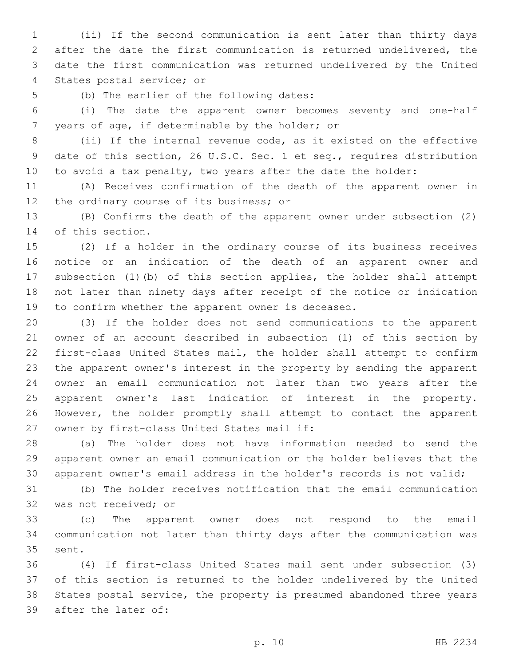(ii) If the second communication is sent later than thirty days after the date the first communication is returned undelivered, the date the first communication was returned undelivered by the United 4 States postal service; or

5 (b) The earlier of the following dates:

 (i) The date the apparent owner becomes seventy and one-half 7 years of age, if determinable by the holder; or

 (ii) If the internal revenue code, as it existed on the effective date of this section, 26 U.S.C. Sec. 1 et seq., requires distribution to avoid a tax penalty, two years after the date the holder:

 (A) Receives confirmation of the death of the apparent owner in 12 the ordinary course of its business; or

 (B) Confirms the death of the apparent owner under subsection (2) 14 of this section.

 (2) If a holder in the ordinary course of its business receives notice or an indication of the death of an apparent owner and subsection (1)(b) of this section applies, the holder shall attempt not later than ninety days after receipt of the notice or indication to confirm whether the apparent owner is deceased.

 (3) If the holder does not send communications to the apparent owner of an account described in subsection (1) of this section by first-class United States mail, the holder shall attempt to confirm the apparent owner's interest in the property by sending the apparent owner an email communication not later than two years after the apparent owner's last indication of interest in the property. However, the holder promptly shall attempt to contact the apparent 27 owner by first-class United States mail if:

 (a) The holder does not have information needed to send the apparent owner an email communication or the holder believes that the apparent owner's email address in the holder's records is not valid;

 (b) The holder receives notification that the email communication 32 was not received; or

 (c) The apparent owner does not respond to the email communication not later than thirty days after the communication was 35 sent.

 (4) If first-class United States mail sent under subsection (3) of this section is returned to the holder undelivered by the United States postal service, the property is presumed abandoned three years 39 after the later of: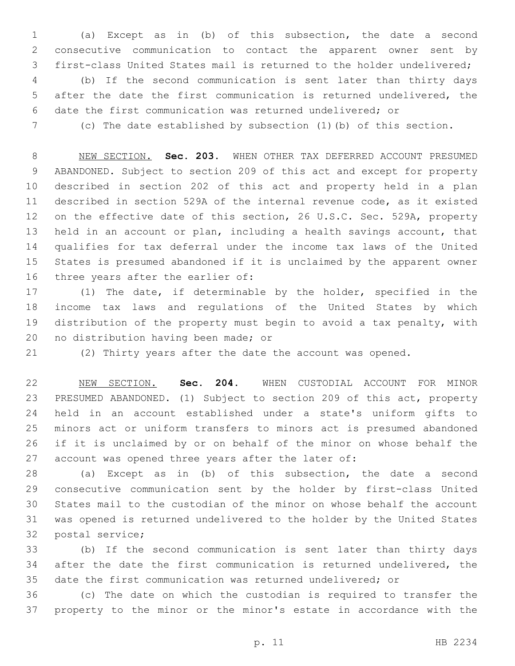(a) Except as in (b) of this subsection, the date a second consecutive communication to contact the apparent owner sent by first-class United States mail is returned to the holder undelivered; (b) If the second communication is sent later than thirty days

 after the date the first communication is returned undelivered, the date the first communication was returned undelivered; or

(c) The date established by subsection (1)(b) of this section.

 NEW SECTION. **Sec. 203.** WHEN OTHER TAX DEFERRED ACCOUNT PRESUMED ABANDONED. Subject to section 209 of this act and except for property described in section 202 of this act and property held in a plan described in section 529A of the internal revenue code, as it existed on the effective date of this section, 26 U.S.C. Sec. 529A, property held in an account or plan, including a health savings account, that qualifies for tax deferral under the income tax laws of the United States is presumed abandoned if it is unclaimed by the apparent owner three years after the earlier of:

 (1) The date, if determinable by the holder, specified in the income tax laws and regulations of the United States by which distribution of the property must begin to avoid a tax penalty, with 20 no distribution having been made; or

(2) Thirty years after the date the account was opened.

 NEW SECTION. **Sec. 204.** WHEN CUSTODIAL ACCOUNT FOR MINOR PRESUMED ABANDONED. (1) Subject to section 209 of this act, property held in an account established under a state's uniform gifts to minors act or uniform transfers to minors act is presumed abandoned if it is unclaimed by or on behalf of the minor on whose behalf the account was opened three years after the later of:

 (a) Except as in (b) of this subsection, the date a second consecutive communication sent by the holder by first-class United States mail to the custodian of the minor on whose behalf the account was opened is returned undelivered to the holder by the United States 32 postal service;

 (b) If the second communication is sent later than thirty days after the date the first communication is returned undelivered, the date the first communication was returned undelivered; or

 (c) The date on which the custodian is required to transfer the property to the minor or the minor's estate in accordance with the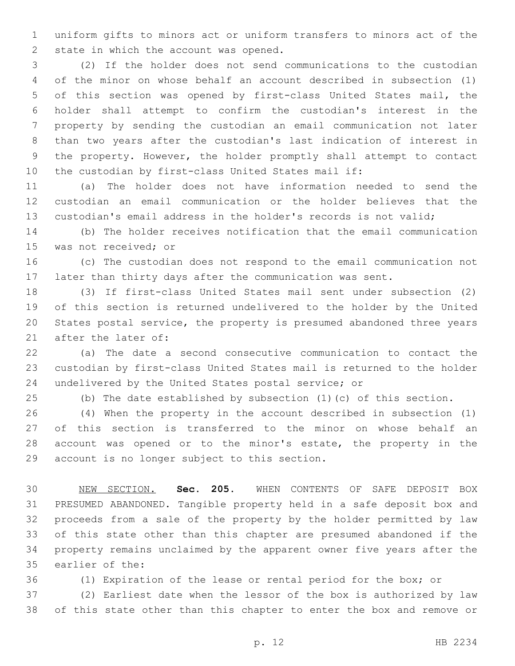uniform gifts to minors act or uniform transfers to minors act of the 2 state in which the account was opened.

 (2) If the holder does not send communications to the custodian of the minor on whose behalf an account described in subsection (1) of this section was opened by first-class United States mail, the holder shall attempt to confirm the custodian's interest in the property by sending the custodian an email communication not later than two years after the custodian's last indication of interest in the property. However, the holder promptly shall attempt to contact the custodian by first-class United States mail if:

 (a) The holder does not have information needed to send the custodian an email communication or the holder believes that the custodian's email address in the holder's records is not valid;

 (b) The holder receives notification that the email communication 15 was not received; or

 (c) The custodian does not respond to the email communication not later than thirty days after the communication was sent.

 (3) If first-class United States mail sent under subsection (2) of this section is returned undelivered to the holder by the United States postal service, the property is presumed abandoned three years 21 after the later of:

 (a) The date a second consecutive communication to contact the custodian by first-class United States mail is returned to the holder undelivered by the United States postal service; or

(b) The date established by subsection (1)(c) of this section.

 (4) When the property in the account described in subsection (1) of this section is transferred to the minor on whose behalf an 28 account was opened or to the minor's estate, the property in the 29 account is no longer subject to this section.

 NEW SECTION. **Sec. 205.** WHEN CONTENTS OF SAFE DEPOSIT BOX PRESUMED ABANDONED. Tangible property held in a safe deposit box and proceeds from a sale of the property by the holder permitted by law of this state other than this chapter are presumed abandoned if the property remains unclaimed by the apparent owner five years after the earlier of the:

(1) Expiration of the lease or rental period for the box; or

 (2) Earliest date when the lessor of the box is authorized by law of this state other than this chapter to enter the box and remove or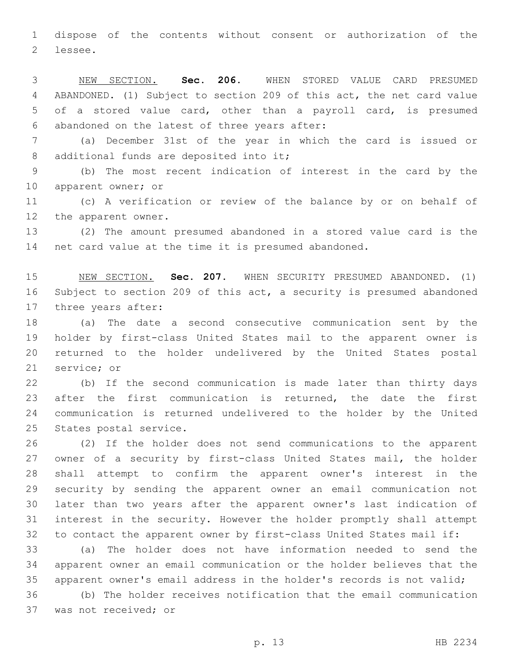dispose of the contents without consent or authorization of the 2 lessee.

 NEW SECTION. **Sec. 206.** WHEN STORED VALUE CARD PRESUMED ABANDONED. (1) Subject to section 209 of this act, the net card value of a stored value card, other than a payroll card, is presumed abandoned on the latest of three years after:

 (a) December 31st of the year in which the card is issued or 8 additional funds are deposited into it;

 (b) The most recent indication of interest in the card by the 10 apparent owner; or

 (c) A verification or review of the balance by or on behalf of 12 the apparent owner.

 (2) The amount presumed abandoned in a stored value card is the net card value at the time it is presumed abandoned.

 NEW SECTION. **Sec. 207.** WHEN SECURITY PRESUMED ABANDONED. (1) Subject to section 209 of this act, a security is presumed abandoned three years after:

 (a) The date a second consecutive communication sent by the holder by first-class United States mail to the apparent owner is returned to the holder undelivered by the United States postal 21 service; or

 (b) If the second communication is made later than thirty days after the first communication is returned, the date the first communication is returned undelivered to the holder by the United 25 States postal service.

 (2) If the holder does not send communications to the apparent owner of a security by first-class United States mail, the holder shall attempt to confirm the apparent owner's interest in the security by sending the apparent owner an email communication not later than two years after the apparent owner's last indication of interest in the security. However the holder promptly shall attempt to contact the apparent owner by first-class United States mail if:

 (a) The holder does not have information needed to send the apparent owner an email communication or the holder believes that the apparent owner's email address in the holder's records is not valid;

 (b) The holder receives notification that the email communication 37 was not received; or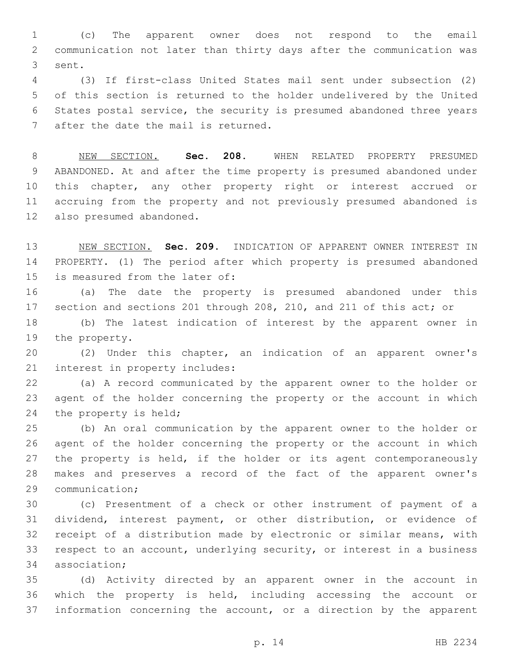(c) The apparent owner does not respond to the email communication not later than thirty days after the communication was 3 sent.

 (3) If first-class United States mail sent under subsection (2) of this section is returned to the holder undelivered by the United States postal service, the security is presumed abandoned three years 7 after the date the mail is returned.

 NEW SECTION. **Sec. 208.** WHEN RELATED PROPERTY PRESUMED ABANDONED. At and after the time property is presumed abandoned under this chapter, any other property right or interest accrued or accruing from the property and not previously presumed abandoned is also presumed abandoned.

 NEW SECTION. **Sec. 209.** INDICATION OF APPARENT OWNER INTEREST IN PROPERTY. (1) The period after which property is presumed abandoned is measured from the later of:

 (a) The date the property is presumed abandoned under this section and sections 201 through 208, 210, and 211 of this act; or (b) The latest indication of interest by the apparent owner in

19 the property.

 (2) Under this chapter, an indication of an apparent owner's 21 interest in property includes:

 (a) A record communicated by the apparent owner to the holder or agent of the holder concerning the property or the account in which 24 the property is held;

 (b) An oral communication by the apparent owner to the holder or agent of the holder concerning the property or the account in which the property is held, if the holder or its agent contemporaneously makes and preserves a record of the fact of the apparent owner's 29 communication;

 (c) Presentment of a check or other instrument of payment of a dividend, interest payment, or other distribution, or evidence of receipt of a distribution made by electronic or similar means, with respect to an account, underlying security, or interest in a business 34 association;

 (d) Activity directed by an apparent owner in the account in which the property is held, including accessing the account or information concerning the account, or a direction by the apparent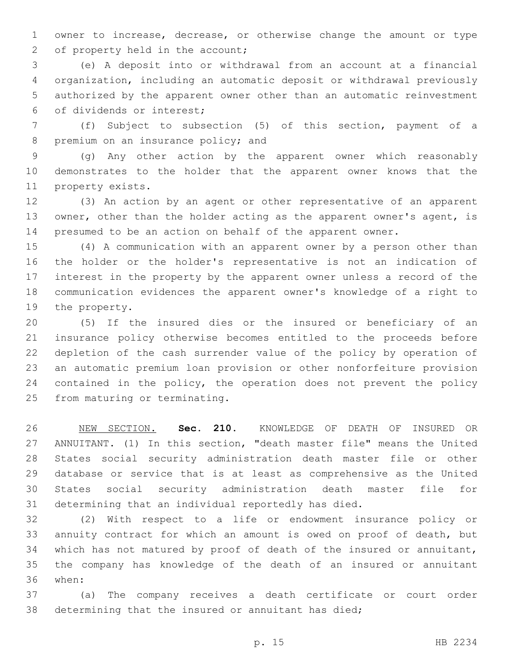owner to increase, decrease, or otherwise change the amount or type 2 of property held in the account;

 (e) A deposit into or withdrawal from an account at a financial organization, including an automatic deposit or withdrawal previously authorized by the apparent owner other than an automatic reinvestment of dividends or interest;6

 (f) Subject to subsection (5) of this section, payment of a 8 premium on an insurance policy; and

 (g) Any other action by the apparent owner which reasonably demonstrates to the holder that the apparent owner knows that the 11 property exists.

 (3) An action by an agent or other representative of an apparent 13 owner, other than the holder acting as the apparent owner's agent, is presumed to be an action on behalf of the apparent owner.

 (4) A communication with an apparent owner by a person other than the holder or the holder's representative is not an indication of interest in the property by the apparent owner unless a record of the communication evidences the apparent owner's knowledge of a right to 19 the property.

 (5) If the insured dies or the insured or beneficiary of an insurance policy otherwise becomes entitled to the proceeds before depletion of the cash surrender value of the policy by operation of an automatic premium loan provision or other nonforfeiture provision contained in the policy, the operation does not prevent the policy 25 from maturing or terminating.

 NEW SECTION. **Sec. 210.** KNOWLEDGE OF DEATH OF INSURED OR ANNUITANT. (1) In this section, "death master file" means the United States social security administration death master file or other database or service that is at least as comprehensive as the United States social security administration death master file for determining that an individual reportedly has died.

 (2) With respect to a life or endowment insurance policy or annuity contract for which an amount is owed on proof of death, but which has not matured by proof of death of the insured or annuitant, the company has knowledge of the death of an insured or annuitant when:36

 (a) The company receives a death certificate or court order determining that the insured or annuitant has died;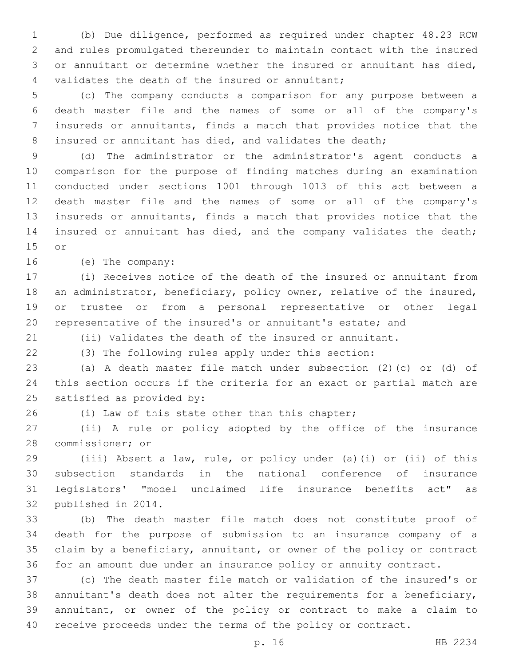(b) Due diligence, performed as required under chapter 48.23 RCW and rules promulgated thereunder to maintain contact with the insured or annuitant or determine whether the insured or annuitant has died, 4 validates the death of the insured or annuitant;

 (c) The company conducts a comparison for any purpose between a death master file and the names of some or all of the company's insureds or annuitants, finds a match that provides notice that the 8 insured or annuitant has died, and validates the death;

 (d) The administrator or the administrator's agent conducts a comparison for the purpose of finding matches during an examination conducted under sections 1001 through 1013 of this act between a death master file and the names of some or all of the company's insureds or annuitants, finds a match that provides notice that the insured or annuitant has died, and the company validates the death; 15 or

16 (e) The company:

 (i) Receives notice of the death of the insured or annuitant from an administrator, beneficiary, policy owner, relative of the insured, or trustee or from a personal representative or other legal representative of the insured's or annuitant's estate; and

(ii) Validates the death of the insured or annuitant.

(3) The following rules apply under this section:

 (a) A death master file match under subsection (2)(c) or (d) of this section occurs if the criteria for an exact or partial match are 25 satisfied as provided by:

(i) Law of this state other than this chapter;

 (ii) A rule or policy adopted by the office of the insurance 28 commissioner; or

 (iii) Absent a law, rule, or policy under (a)(i) or (ii) of this subsection standards in the national conference of insurance legislators' "model unclaimed life insurance benefits act" as 32 published in 2014.

 (b) The death master file match does not constitute proof of death for the purpose of submission to an insurance company of a claim by a beneficiary, annuitant, or owner of the policy or contract for an amount due under an insurance policy or annuity contract.

 (c) The death master file match or validation of the insured's or annuitant's death does not alter the requirements for a beneficiary, annuitant, or owner of the policy or contract to make a claim to receive proceeds under the terms of the policy or contract.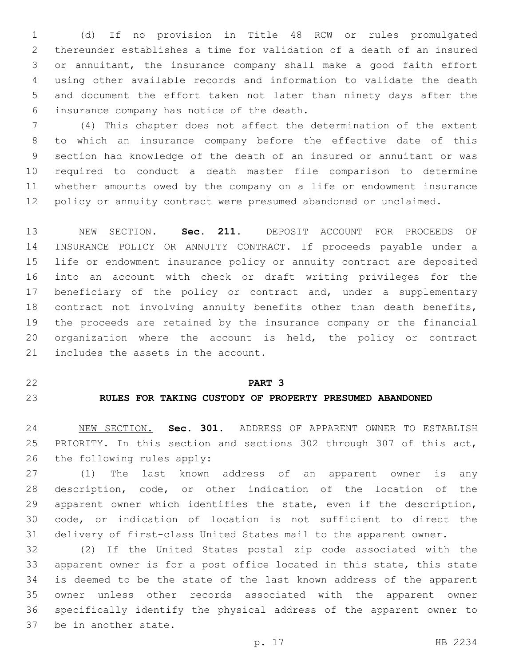(d) If no provision in Title 48 RCW or rules promulgated thereunder establishes a time for validation of a death of an insured or annuitant, the insurance company shall make a good faith effort using other available records and information to validate the death and document the effort taken not later than ninety days after the 6 insurance company has notice of the death.

 (4) This chapter does not affect the determination of the extent to which an insurance company before the effective date of this section had knowledge of the death of an insured or annuitant or was required to conduct a death master file comparison to determine whether amounts owed by the company on a life or endowment insurance policy or annuity contract were presumed abandoned or unclaimed.

 NEW SECTION. **Sec. 211.** DEPOSIT ACCOUNT FOR PROCEEDS OF INSURANCE POLICY OR ANNUITY CONTRACT. If proceeds payable under a life or endowment insurance policy or annuity contract are deposited into an account with check or draft writing privileges for the 17 beneficiary of the policy or contract and, under a supplementary contract not involving annuity benefits other than death benefits, the proceeds are retained by the insurance company or the financial organization where the account is held, the policy or contract includes the assets in the account.

# **PART 3**

# **RULES FOR TAKING CUSTODY OF PROPERTY PRESUMED ABANDONED**

 NEW SECTION. **Sec. 301.** ADDRESS OF APPARENT OWNER TO ESTABLISH PRIORITY. In this section and sections 302 through 307 of this act, the following rules apply:

 (1) The last known address of an apparent owner is any description, code, or other indication of the location of the apparent owner which identifies the state, even if the description, code, or indication of location is not sufficient to direct the delivery of first-class United States mail to the apparent owner.

 (2) If the United States postal zip code associated with the apparent owner is for a post office located in this state, this state is deemed to be the state of the last known address of the apparent owner unless other records associated with the apparent owner specifically identify the physical address of the apparent owner to 37 be in another state.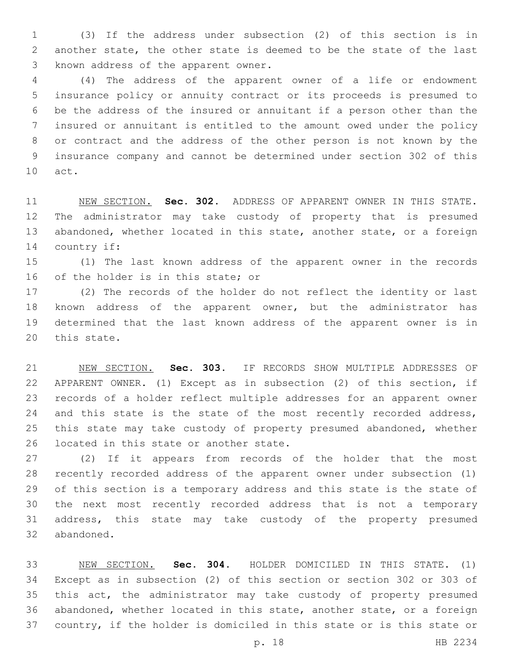(3) If the address under subsection (2) of this section is in another state, the other state is deemed to be the state of the last 3 known address of the apparent owner.

 (4) The address of the apparent owner of a life or endowment insurance policy or annuity contract or its proceeds is presumed to be the address of the insured or annuitant if a person other than the insured or annuitant is entitled to the amount owed under the policy or contract and the address of the other person is not known by the insurance company and cannot be determined under section 302 of this 10 act.

 NEW SECTION. **Sec. 302.** ADDRESS OF APPARENT OWNER IN THIS STATE. The administrator may take custody of property that is presumed abandoned, whether located in this state, another state, or a foreign country if:

 (1) The last known address of the apparent owner in the records 16 of the holder is in this state; or

 (2) The records of the holder do not reflect the identity or last known address of the apparent owner, but the administrator has determined that the last known address of the apparent owner is in 20 this state.

 NEW SECTION. **Sec. 303.** IF RECORDS SHOW MULTIPLE ADDRESSES OF APPARENT OWNER. (1) Except as in subsection (2) of this section, if records of a holder reflect multiple addresses for an apparent owner 24 and this state is the state of the most recently recorded address, this state may take custody of property presumed abandoned, whether located in this state or another state.

 (2) If it appears from records of the holder that the most recently recorded address of the apparent owner under subsection (1) of this section is a temporary address and this state is the state of the next most recently recorded address that is not a temporary address, this state may take custody of the property presumed 32 abandoned.

 NEW SECTION. **Sec. 304.** HOLDER DOMICILED IN THIS STATE. (1) Except as in subsection (2) of this section or section 302 or 303 of this act, the administrator may take custody of property presumed abandoned, whether located in this state, another state, or a foreign country, if the holder is domiciled in this state or is this state or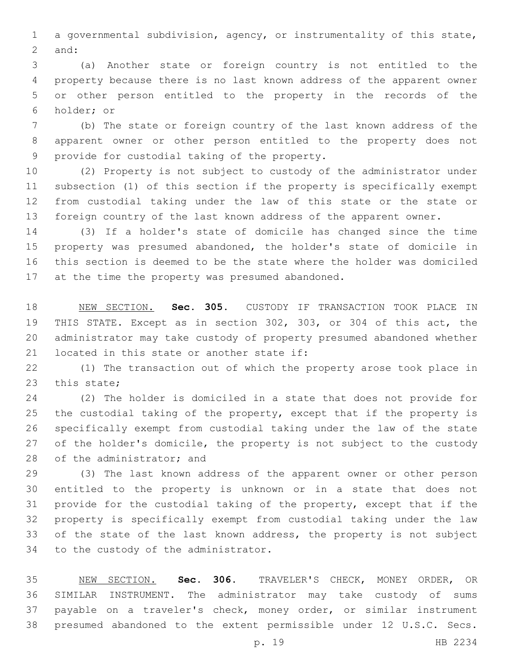a governmental subdivision, agency, or instrumentality of this state, 2 and:

 (a) Another state or foreign country is not entitled to the property because there is no last known address of the apparent owner or other person entitled to the property in the records of the 6 holder; or

 (b) The state or foreign country of the last known address of the apparent owner or other person entitled to the property does not 9 provide for custodial taking of the property.

 (2) Property is not subject to custody of the administrator under subsection (1) of this section if the property is specifically exempt from custodial taking under the law of this state or the state or foreign country of the last known address of the apparent owner.

 (3) If a holder's state of domicile has changed since the time property was presumed abandoned, the holder's state of domicile in this section is deemed to be the state where the holder was domiciled 17 at the time the property was presumed abandoned.

 NEW SECTION. **Sec. 305.** CUSTODY IF TRANSACTION TOOK PLACE IN THIS STATE. Except as in section 302, 303, or 304 of this act, the administrator may take custody of property presumed abandoned whether located in this state or another state if:

 (1) The transaction out of which the property arose took place in 23 this state;

 (2) The holder is domiciled in a state that does not provide for 25 the custodial taking of the property, except that if the property is specifically exempt from custodial taking under the law of the state 27 of the holder's domicile, the property is not subject to the custody 28 of the administrator; and

 (3) The last known address of the apparent owner or other person entitled to the property is unknown or in a state that does not provide for the custodial taking of the property, except that if the property is specifically exempt from custodial taking under the law 33 of the state of the last known address, the property is not subject 34 to the custody of the administrator.

 NEW SECTION. **Sec. 306.** TRAVELER'S CHECK, MONEY ORDER, OR SIMILAR INSTRUMENT. The administrator may take custody of sums payable on a traveler's check, money order, or similar instrument presumed abandoned to the extent permissible under 12 U.S.C. Secs.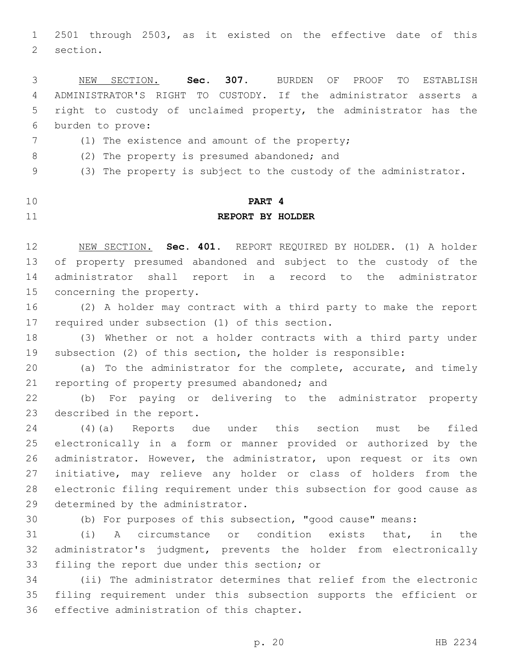2501 through 2503, as it existed on the effective date of this 2 section.

 NEW SECTION. **Sec. 307.** BURDEN OF PROOF TO ESTABLISH ADMINISTRATOR'S RIGHT TO CUSTODY. If the administrator asserts a right to custody of unclaimed property, the administrator has the burden to prove:

- 7 (1) The existence and amount of the property;
- 8 (2) The property is presumed abandoned; and

(3) The property is subject to the custody of the administrator.

# **PART 4 REPORT BY HOLDER**

 NEW SECTION. **Sec. 401.** REPORT REQUIRED BY HOLDER. (1) A holder of property presumed abandoned and subject to the custody of the administrator shall report in a record to the administrator concerning the property.

 (2) A holder may contract with a third party to make the report 17 required under subsection (1) of this section.

 (3) Whether or not a holder contracts with a third party under subsection (2) of this section, the holder is responsible:

 (a) To the administrator for the complete, accurate, and timely 21 reporting of property presumed abandoned; and

 (b) For paying or delivering to the administrator property 23 described in the report.

 (4)(a) Reports due under this section must be filed electronically in a form or manner provided or authorized by the administrator. However, the administrator, upon request or its own initiative, may relieve any holder or class of holders from the electronic filing requirement under this subsection for good cause as 29 determined by the administrator.

(b) For purposes of this subsection, "good cause" means:

 (i) A circumstance or condition exists that, in the administrator's judgment, prevents the holder from electronically 33 filing the report due under this section; or

 (ii) The administrator determines that relief from the electronic filing requirement under this subsection supports the efficient or 36 effective administration of this chapter.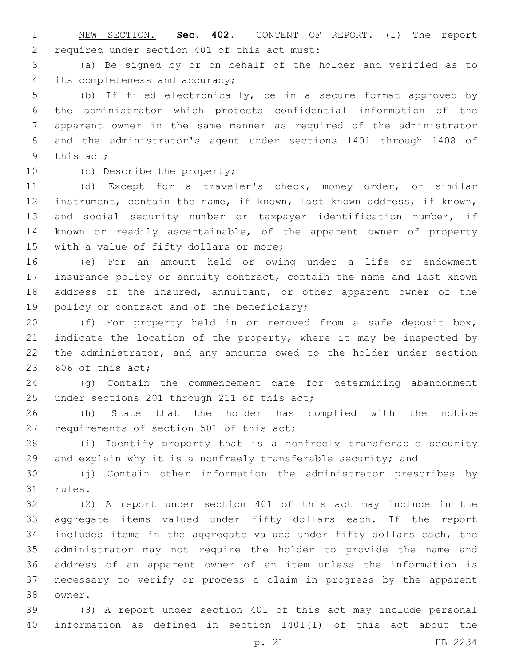NEW SECTION. **Sec. 402.** CONTENT OF REPORT. (1) The report required under section 401 of this act must:

 (a) Be signed by or on behalf of the holder and verified as to 4 its completeness and accuracy;

 (b) If filed electronically, be in a secure format approved by the administrator which protects confidential information of the apparent owner in the same manner as required of the administrator and the administrator's agent under sections 1401 through 1408 of 9 this act:

10 (c) Describe the property;

 (d) Except for a traveler's check, money order, or similar instrument, contain the name, if known, last known address, if known, and social security number or taxpayer identification number, if known or readily ascertainable, of the apparent owner of property 15 with a value of fifty dollars or more;

 (e) For an amount held or owing under a life or endowment insurance policy or annuity contract, contain the name and last known 18 address of the insured, annuitant, or other apparent owner of the 19 policy or contract and of the beneficiary;

 (f) For property held in or removed from a safe deposit box, 21 indicate the location of the property, where it may be inspected by the administrator, and any amounts owed to the holder under section of this act:

 (g) Contain the commencement date for determining abandonment 25 under sections 201 through 211 of this act;

 (h) State that the holder has complied with the notice 27 requirements of section 501 of this act;

 (i) Identify property that is a nonfreely transferable security and explain why it is a nonfreely transferable security; and

 (j) Contain other information the administrator prescribes by 31 rules.

 (2) A report under section 401 of this act may include in the aggregate items valued under fifty dollars each. If the report includes items in the aggregate valued under fifty dollars each, the administrator may not require the holder to provide the name and address of an apparent owner of an item unless the information is necessary to verify or process a claim in progress by the apparent 38 owner.

 (3) A report under section 401 of this act may include personal information as defined in section 1401(1) of this act about the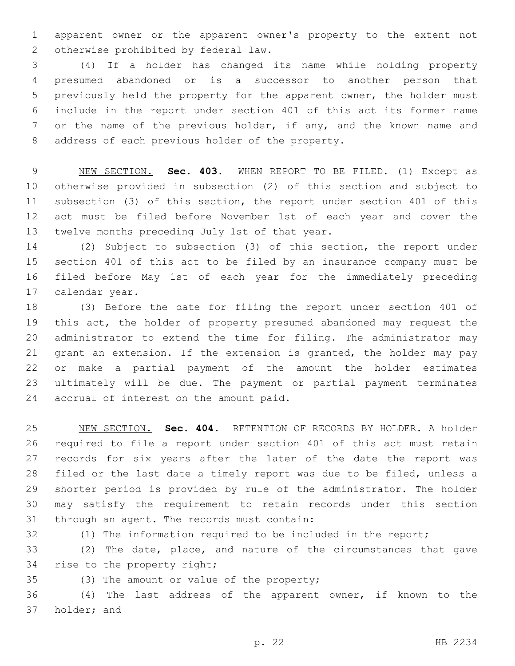apparent owner or the apparent owner's property to the extent not 2 otherwise prohibited by federal law.

 (4) If a holder has changed its name while holding property presumed abandoned or is a successor to another person that previously held the property for the apparent owner, the holder must include in the report under section 401 of this act its former name or the name of the previous holder, if any, and the known name and 8 address of each previous holder of the property.

 NEW SECTION. **Sec. 403.** WHEN REPORT TO BE FILED. (1) Except as otherwise provided in subsection (2) of this section and subject to subsection (3) of this section, the report under section 401 of this act must be filed before November 1st of each year and cover the twelve months preceding July 1st of that year.

 (2) Subject to subsection (3) of this section, the report under section 401 of this act to be filed by an insurance company must be filed before May 1st of each year for the immediately preceding 17 calendar year.

 (3) Before the date for filing the report under section 401 of this act, the holder of property presumed abandoned may request the administrator to extend the time for filing. The administrator may grant an extension. If the extension is granted, the holder may pay or make a partial payment of the amount the holder estimates ultimately will be due. The payment or partial payment terminates 24 accrual of interest on the amount paid.

 NEW SECTION. **Sec. 404.** RETENTION OF RECORDS BY HOLDER. A holder required to file a report under section 401 of this act must retain records for six years after the later of the date the report was filed or the last date a timely report was due to be filed, unless a shorter period is provided by rule of the administrator. The holder may satisfy the requirement to retain records under this section through an agent. The records must contain:

 (1) The information required to be included in the report; (2) The date, place, and nature of the circumstances that gave 34 rise to the property right;

35 (3) The amount or value of the property;

 (4) The last address of the apparent owner, if known to the 37 holder; and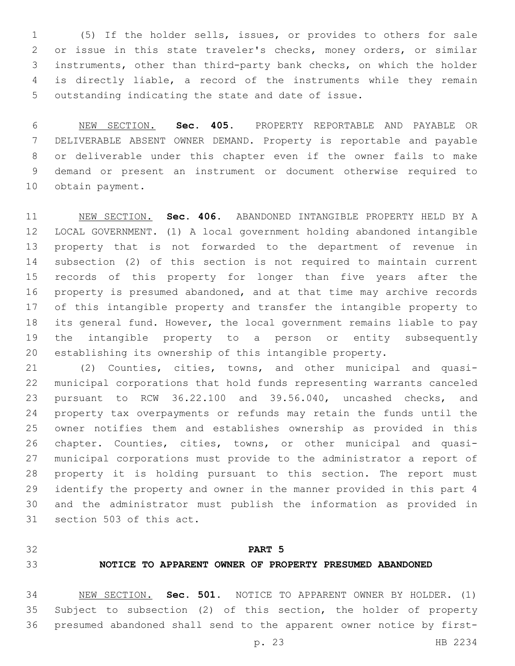(5) If the holder sells, issues, or provides to others for sale or issue in this state traveler's checks, money orders, or similar instruments, other than third-party bank checks, on which the holder is directly liable, a record of the instruments while they remain outstanding indicating the state and date of issue.

 NEW SECTION. **Sec. 405.** PROPERTY REPORTABLE AND PAYABLE OR DELIVERABLE ABSENT OWNER DEMAND. Property is reportable and payable or deliverable under this chapter even if the owner fails to make demand or present an instrument or document otherwise required to obtain payment.

 NEW SECTION. **Sec. 406.** ABANDONED INTANGIBLE PROPERTY HELD BY A LOCAL GOVERNMENT. (1) A local government holding abandoned intangible property that is not forwarded to the department of revenue in subsection (2) of this section is not required to maintain current records of this property for longer than five years after the property is presumed abandoned, and at that time may archive records of this intangible property and transfer the intangible property to its general fund. However, the local government remains liable to pay the intangible property to a person or entity subsequently establishing its ownership of this intangible property.

 (2) Counties, cities, towns, and other municipal and quasi- municipal corporations that hold funds representing warrants canceled pursuant to RCW 36.22.100 and 39.56.040, uncashed checks, and property tax overpayments or refunds may retain the funds until the owner notifies them and establishes ownership as provided in this chapter. Counties, cities, towns, or other municipal and quasi- municipal corporations must provide to the administrator a report of property it is holding pursuant to this section. The report must identify the property and owner in the manner provided in this part 4 and the administrator must publish the information as provided in 31 section 503 of this act.

# **PART 5**

# **NOTICE TO APPARENT OWNER OF PROPERTY PRESUMED ABANDONED**

 NEW SECTION. **Sec. 501.** NOTICE TO APPARENT OWNER BY HOLDER. (1) Subject to subsection (2) of this section, the holder of property presumed abandoned shall send to the apparent owner notice by first-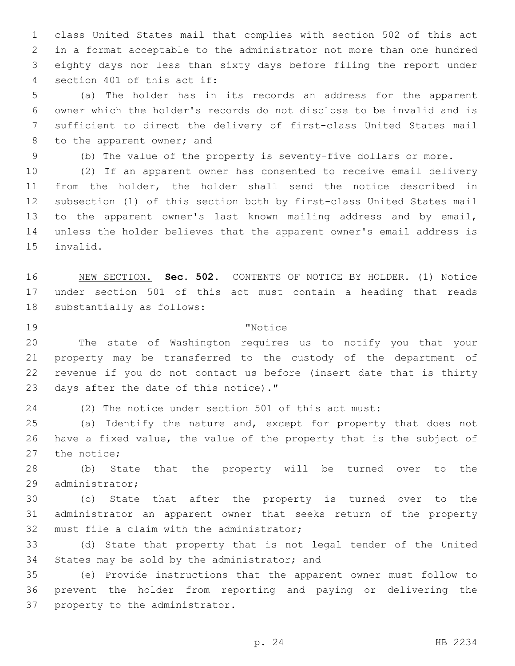class United States mail that complies with section 502 of this act in a format acceptable to the administrator not more than one hundred eighty days nor less than sixty days before filing the report under 4 section 401 of this act if:

 (a) The holder has in its records an address for the apparent owner which the holder's records do not disclose to be invalid and is sufficient to direct the delivery of first-class United States mail 8 to the apparent owner; and

(b) The value of the property is seventy-five dollars or more.

 (2) If an apparent owner has consented to receive email delivery from the holder, the holder shall send the notice described in subsection (1) of this section both by first-class United States mail to the apparent owner's last known mailing address and by email, unless the holder believes that the apparent owner's email address is 15 invalid.

 NEW SECTION. **Sec. 502.** CONTENTS OF NOTICE BY HOLDER. (1) Notice under section 501 of this act must contain a heading that reads substantially as follows:

# 19 The Terms of The Terms of Terms and Terms of Terms and Terms and Terms and Terms and Terms and Terms and Te

 The state of Washington requires us to notify you that your property may be transferred to the custody of the department of revenue if you do not contact us before (insert date that is thirty 23 days after the date of this notice)."

(2) The notice under section 501 of this act must:

 (a) Identify the nature and, except for property that does not have a fixed value, the value of the property that is the subject of 27 the notice;

 (b) State that the property will be turned over to the 29 administrator;

 (c) State that after the property is turned over to the administrator an apparent owner that seeks return of the property 32 must file a claim with the administrator;

 (d) State that property that is not legal tender of the United 34 States may be sold by the administrator; and

 (e) Provide instructions that the apparent owner must follow to prevent the holder from reporting and paying or delivering the 37 property to the administrator.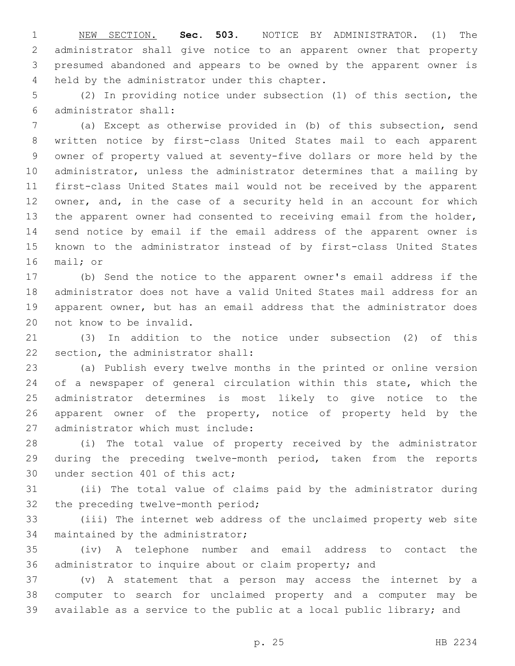NEW SECTION. **Sec. 503.** NOTICE BY ADMINISTRATOR. (1) The administrator shall give notice to an apparent owner that property presumed abandoned and appears to be owned by the apparent owner is held by the administrator under this chapter.

 (2) In providing notice under subsection (1) of this section, the administrator shall:6

 (a) Except as otherwise provided in (b) of this subsection, send written notice by first-class United States mail to each apparent owner of property valued at seventy-five dollars or more held by the administrator, unless the administrator determines that a mailing by first-class United States mail would not be received by the apparent owner, and, in the case of a security held in an account for which the apparent owner had consented to receiving email from the holder, send notice by email if the email address of the apparent owner is known to the administrator instead of by first-class United States 16 mail; or

 (b) Send the notice to the apparent owner's email address if the administrator does not have a valid United States mail address for an apparent owner, but has an email address that the administrator does 20 not know to be invalid.

 (3) In addition to the notice under subsection (2) of this 22 section, the administrator shall:

 (a) Publish every twelve months in the printed or online version 24 of a newspaper of general circulation within this state, which the administrator determines is most likely to give notice to the apparent owner of the property, notice of property held by the 27 administrator which must include:

 (i) The total value of property received by the administrator during the preceding twelve-month period, taken from the reports 30 under section 401 of this act;

 (ii) The total value of claims paid by the administrator during 32 the preceding twelve-month period;

 (iii) The internet web address of the unclaimed property web site 34 maintained by the administrator;

 (iv) A telephone number and email address to contact the administrator to inquire about or claim property; and

 (v) A statement that a person may access the internet by a computer to search for unclaimed property and a computer may be available as a service to the public at a local public library; and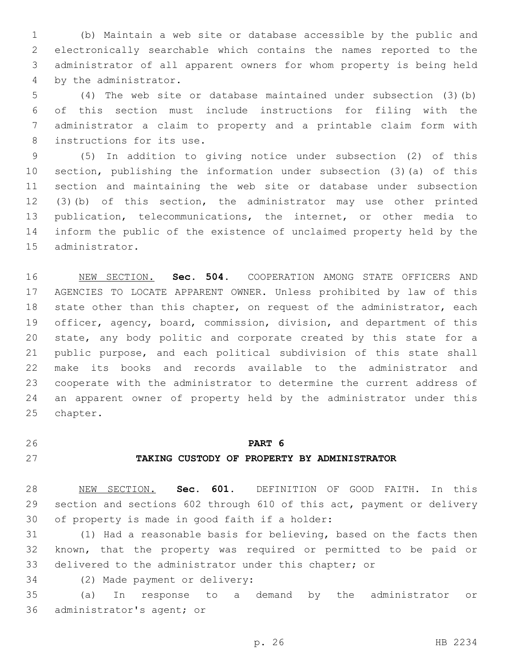(b) Maintain a web site or database accessible by the public and electronically searchable which contains the names reported to the administrator of all apparent owners for whom property is being held 4 by the administrator.

 (4) The web site or database maintained under subsection (3)(b) of this section must include instructions for filing with the administrator a claim to property and a printable claim form with 8 instructions for its use.

 (5) In addition to giving notice under subsection (2) of this section, publishing the information under subsection (3)(a) of this section and maintaining the web site or database under subsection (3)(b) of this section, the administrator may use other printed publication, telecommunications, the internet, or other media to inform the public of the existence of unclaimed property held by the 15 administrator.

 NEW SECTION. **Sec. 504.** COOPERATION AMONG STATE OFFICERS AND AGENCIES TO LOCATE APPARENT OWNER. Unless prohibited by law of this 18 state other than this chapter, on request of the administrator, each officer, agency, board, commission, division, and department of this 20 state, any body politic and corporate created by this state for a public purpose, and each political subdivision of this state shall make its books and records available to the administrator and cooperate with the administrator to determine the current address of an apparent owner of property held by the administrator under this chapter.

#### **PART 6**

# **TAKING CUSTODY OF PROPERTY BY ADMINISTRATOR**

 NEW SECTION. **Sec. 601.** DEFINITION OF GOOD FAITH. In this section and sections 602 through 610 of this act, payment or delivery of property is made in good faith if a holder:

 (1) Had a reasonable basis for believing, based on the facts then known, that the property was required or permitted to be paid or delivered to the administrator under this chapter; or

34 (2) Made payment or delivery:

 (a) In response to a demand by the administrator or 36 administrator's agent; or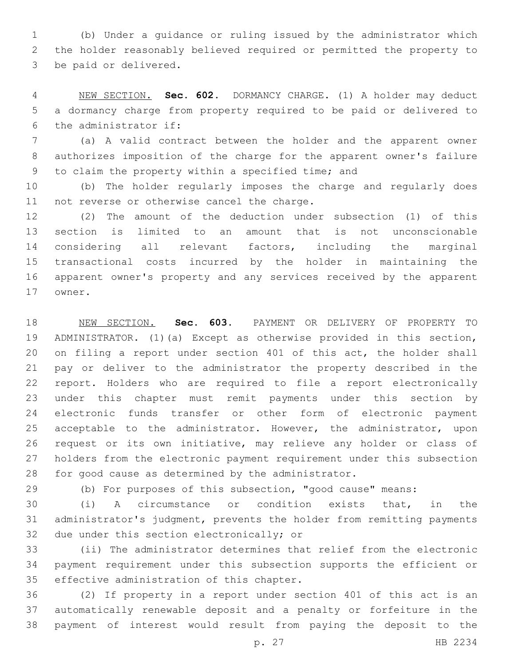(b) Under a guidance or ruling issued by the administrator which the holder reasonably believed required or permitted the property to 3 be paid or delivered.

 NEW SECTION. **Sec. 602.** DORMANCY CHARGE. (1) A holder may deduct a dormancy charge from property required to be paid or delivered to the administrator if:

 (a) A valid contract between the holder and the apparent owner authorizes imposition of the charge for the apparent owner's failure 9 to claim the property within a specified time; and

 (b) The holder regularly imposes the charge and regularly does 11 not reverse or otherwise cancel the charge.

 (2) The amount of the deduction under subsection (1) of this section is limited to an amount that is not unconscionable considering all relevant factors, including the marginal transactional costs incurred by the holder in maintaining the apparent owner's property and any services received by the apparent 17 owner.

 NEW SECTION. **Sec. 603.** PAYMENT OR DELIVERY OF PROPERTY TO ADMINISTRATOR. (1)(a) Except as otherwise provided in this section, on filing a report under section 401 of this act, the holder shall pay or deliver to the administrator the property described in the report. Holders who are required to file a report electronically under this chapter must remit payments under this section by electronic funds transfer or other form of electronic payment acceptable to the administrator. However, the administrator, upon request or its own initiative, may relieve any holder or class of holders from the electronic payment requirement under this subsection for good cause as determined by the administrator.

(b) For purposes of this subsection, "good cause" means:

 (i) A circumstance or condition exists that, in the administrator's judgment, prevents the holder from remitting payments 32 due under this section electronically; or

 (ii) The administrator determines that relief from the electronic payment requirement under this subsection supports the efficient or 35 effective administration of this chapter.

 (2) If property in a report under section 401 of this act is an automatically renewable deposit and a penalty or forfeiture in the payment of interest would result from paying the deposit to the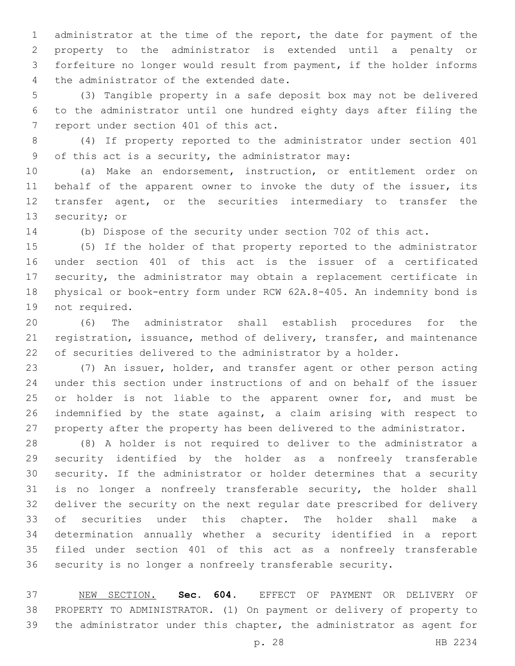administrator at the time of the report, the date for payment of the property to the administrator is extended until a penalty or forfeiture no longer would result from payment, if the holder informs 4 the administrator of the extended date.

 (3) Tangible property in a safe deposit box may not be delivered to the administrator until one hundred eighty days after filing the 7 report under section 401 of this act.

 (4) If property reported to the administrator under section 401 of this act is a security, the administrator may:9

 (a) Make an endorsement, instruction, or entitlement order on 11 behalf of the apparent owner to invoke the duty of the issuer, its transfer agent, or the securities intermediary to transfer the 13 security; or

(b) Dispose of the security under section 702 of this act.

 (5) If the holder of that property reported to the administrator under section 401 of this act is the issuer of a certificated security, the administrator may obtain a replacement certificate in physical or book-entry form under RCW 62A.8-405. An indemnity bond is 19 not required.

 (6) The administrator shall establish procedures for the registration, issuance, method of delivery, transfer, and maintenance of securities delivered to the administrator by a holder.

 (7) An issuer, holder, and transfer agent or other person acting under this section under instructions of and on behalf of the issuer 25 or holder is not liable to the apparent owner for, and must be indemnified by the state against, a claim arising with respect to property after the property has been delivered to the administrator.

 (8) A holder is not required to deliver to the administrator a security identified by the holder as a nonfreely transferable security. If the administrator or holder determines that a security is no longer a nonfreely transferable security, the holder shall deliver the security on the next regular date prescribed for delivery of securities under this chapter. The holder shall make a determination annually whether a security identified in a report filed under section 401 of this act as a nonfreely transferable security is no longer a nonfreely transferable security.

 NEW SECTION. **Sec. 604.** EFFECT OF PAYMENT OR DELIVERY OF PROPERTY TO ADMINISTRATOR. (1) On payment or delivery of property to the administrator under this chapter, the administrator as agent for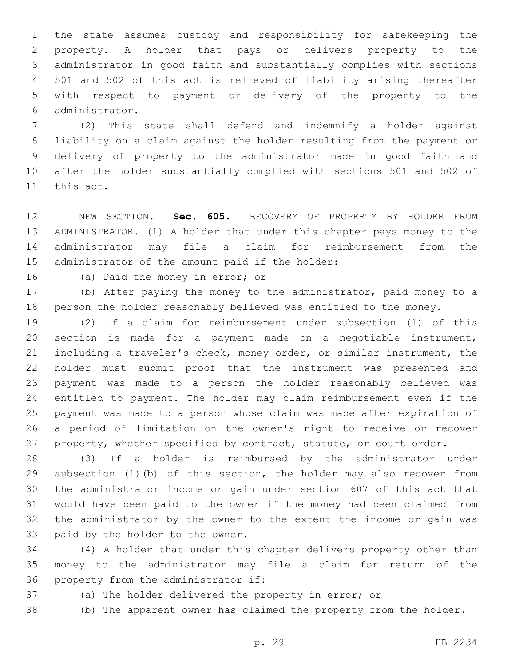the state assumes custody and responsibility for safekeeping the property. A holder that pays or delivers property to the administrator in good faith and substantially complies with sections 501 and 502 of this act is relieved of liability arising thereafter with respect to payment or delivery of the property to the administrator.6

 (2) This state shall defend and indemnify a holder against liability on a claim against the holder resulting from the payment or delivery of property to the administrator made in good faith and after the holder substantially complied with sections 501 and 502 of 11 this act.

 NEW SECTION. **Sec. 605.** RECOVERY OF PROPERTY BY HOLDER FROM ADMINISTRATOR. (1) A holder that under this chapter pays money to the administrator may file a claim for reimbursement from the administrator of the amount paid if the holder:

16 (a) Paid the money in error; or

 (b) After paying the money to the administrator, paid money to a person the holder reasonably believed was entitled to the money.

 (2) If a claim for reimbursement under subsection (1) of this section is made for a payment made on a negotiable instrument, including a traveler's check, money order, or similar instrument, the holder must submit proof that the instrument was presented and payment was made to a person the holder reasonably believed was entitled to payment. The holder may claim reimbursement even if the payment was made to a person whose claim was made after expiration of a period of limitation on the owner's right to receive or recover 27 property, whether specified by contract, statute, or court order.

 (3) If a holder is reimbursed by the administrator under subsection (1)(b) of this section, the holder may also recover from the administrator income or gain under section 607 of this act that would have been paid to the owner if the money had been claimed from the administrator by the owner to the extent the income or gain was 33 paid by the holder to the owner.

 (4) A holder that under this chapter delivers property other than money to the administrator may file a claim for return of the 36 property from the administrator if:

(a) The holder delivered the property in error; or

(b) The apparent owner has claimed the property from the holder.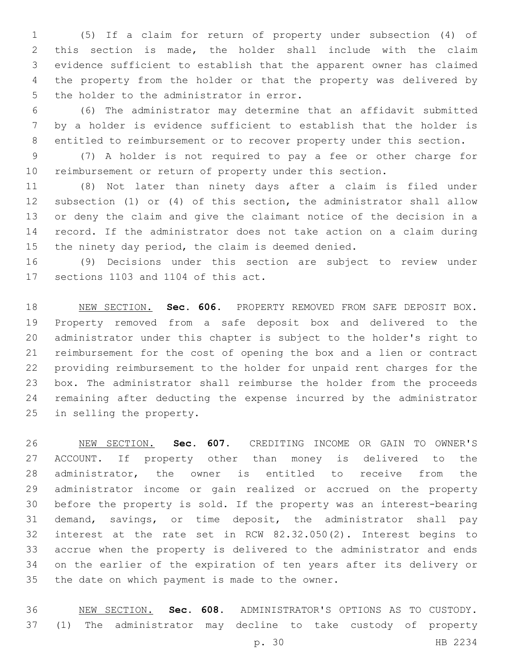(5) If a claim for return of property under subsection (4) of this section is made, the holder shall include with the claim evidence sufficient to establish that the apparent owner has claimed the property from the holder or that the property was delivered by 5 the holder to the administrator in error.

 (6) The administrator may determine that an affidavit submitted by a holder is evidence sufficient to establish that the holder is entitled to reimbursement or to recover property under this section.

 (7) A holder is not required to pay a fee or other charge for reimbursement or return of property under this section.

 (8) Not later than ninety days after a claim is filed under subsection (1) or (4) of this section, the administrator shall allow or deny the claim and give the claimant notice of the decision in a record. If the administrator does not take action on a claim during the ninety day period, the claim is deemed denied.

 (9) Decisions under this section are subject to review under 17 sections 1103 and 1104 of this act.

 NEW SECTION. **Sec. 606.** PROPERTY REMOVED FROM SAFE DEPOSIT BOX. Property removed from a safe deposit box and delivered to the administrator under this chapter is subject to the holder's right to reimbursement for the cost of opening the box and a lien or contract providing reimbursement to the holder for unpaid rent charges for the box. The administrator shall reimburse the holder from the proceeds remaining after deducting the expense incurred by the administrator in selling the property.

 NEW SECTION. **Sec. 607.** CREDITING INCOME OR GAIN TO OWNER'S ACCOUNT. If property other than money is delivered to the administrator, the owner is entitled to receive from the administrator income or gain realized or accrued on the property before the property is sold. If the property was an interest-bearing demand, savings, or time deposit, the administrator shall pay interest at the rate set in RCW 82.32.050(2). Interest begins to accrue when the property is delivered to the administrator and ends on the earlier of the expiration of ten years after its delivery or the date on which payment is made to the owner.

 NEW SECTION. **Sec. 608.** ADMINISTRATOR'S OPTIONS AS TO CUSTODY. (1) The administrator may decline to take custody of property

p. 30 HB 2234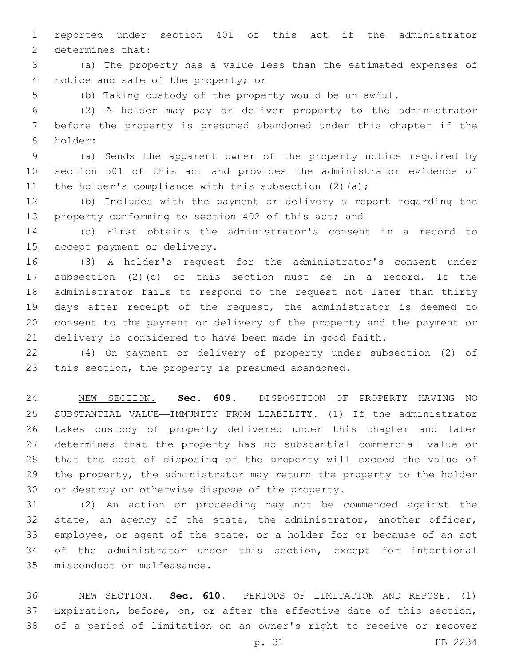reported under section 401 of this act if the administrator 2 determines that:

 (a) The property has a value less than the estimated expenses of 4 notice and sale of the property; or

(b) Taking custody of the property would be unlawful.

 (2) A holder may pay or deliver property to the administrator before the property is presumed abandoned under this chapter if the 8 holder:

 (a) Sends the apparent owner of the property notice required by section 501 of this act and provides the administrator evidence of 11 the holder's compliance with this subsection  $(2)$   $(a)$ ;

 (b) Includes with the payment or delivery a report regarding the 13 property conforming to section 402 of this act; and

 (c) First obtains the administrator's consent in a record to 15 accept payment or delivery.

 (3) A holder's request for the administrator's consent under subsection (2)(c) of this section must be in a record. If the administrator fails to respond to the request not later than thirty days after receipt of the request, the administrator is deemed to consent to the payment or delivery of the property and the payment or delivery is considered to have been made in good faith.

 (4) On payment or delivery of property under subsection (2) of 23 this section, the property is presumed abandoned.

 NEW SECTION. **Sec. 609.** DISPOSITION OF PROPERTY HAVING NO SUBSTANTIAL VALUE—IMMUNITY FROM LIABILITY. (1) If the administrator takes custody of property delivered under this chapter and later determines that the property has no substantial commercial value or that the cost of disposing of the property will exceed the value of the property, the administrator may return the property to the holder or destroy or otherwise dispose of the property.

 (2) An action or proceeding may not be commenced against the 32 state, an agency of the state, the administrator, another officer, employee, or agent of the state, or a holder for or because of an act of the administrator under this section, except for intentional 35 misconduct or malfeasance.

 NEW SECTION. **Sec. 610.** PERIODS OF LIMITATION AND REPOSE. (1) Expiration, before, on, or after the effective date of this section, of a period of limitation on an owner's right to receive or recover

p. 31 HB 2234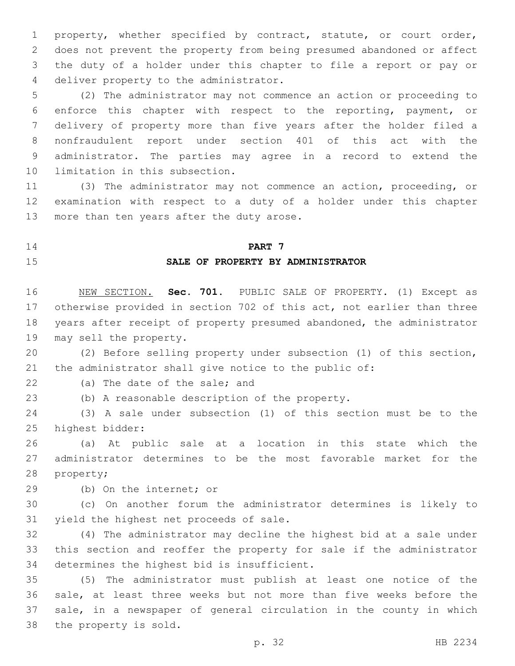property, whether specified by contract, statute, or court order, does not prevent the property from being presumed abandoned or affect the duty of a holder under this chapter to file a report or pay or 4 deliver property to the administrator.

 (2) The administrator may not commence an action or proceeding to enforce this chapter with respect to the reporting, payment, or delivery of property more than five years after the holder filed a nonfraudulent report under section 401 of this act with the administrator. The parties may agree in a record to extend the 10 limitation in this subsection.

 (3) The administrator may not commence an action, proceeding, or examination with respect to a duty of a holder under this chapter 13 more than ten years after the duty arose.

#### **PART 7**

#### **SALE OF PROPERTY BY ADMINISTRATOR**

 NEW SECTION. **Sec. 701.** PUBLIC SALE OF PROPERTY. (1) Except as otherwise provided in section 702 of this act, not earlier than three years after receipt of property presumed abandoned, the administrator may sell the property.

 (2) Before selling property under subsection (1) of this section, the administrator shall give notice to the public of:

22 (a) The date of the sale; and

(b) A reasonable description of the property.

 (3) A sale under subsection (1) of this section must be to the 25 highest bidder:

 (a) At public sale at a location in this state which the administrator determines to be the most favorable market for the 28 property;

29 (b) On the internet; or

 (c) On another forum the administrator determines is likely to 31 yield the highest net proceeds of sale.

 (4) The administrator may decline the highest bid at a sale under this section and reoffer the property for sale if the administrator 34 determines the highest bid is insufficient.

 (5) The administrator must publish at least one notice of the sale, at least three weeks but not more than five weeks before the sale, in a newspaper of general circulation in the county in which 38 the property is sold.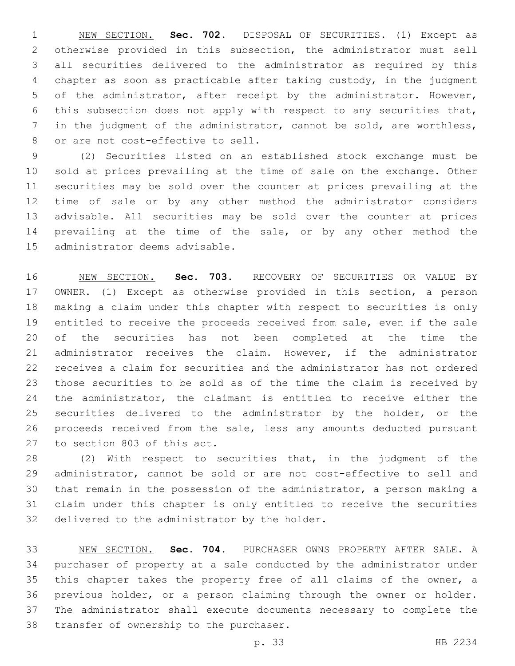NEW SECTION. **Sec. 702.** DISPOSAL OF SECURITIES. (1) Except as otherwise provided in this subsection, the administrator must sell all securities delivered to the administrator as required by this chapter as soon as practicable after taking custody, in the judgment of the administrator, after receipt by the administrator. However, this subsection does not apply with respect to any securities that, in the judgment of the administrator, cannot be sold, are worthless, or are not cost-effective to sell.

 (2) Securities listed on an established stock exchange must be sold at prices prevailing at the time of sale on the exchange. Other securities may be sold over the counter at prices prevailing at the time of sale or by any other method the administrator considers advisable. All securities may be sold over the counter at prices prevailing at the time of the sale, or by any other method the 15 administrator deems advisable.

 NEW SECTION. **Sec. 703.** RECOVERY OF SECURITIES OR VALUE BY OWNER. (1) Except as otherwise provided in this section, a person making a claim under this chapter with respect to securities is only entitled to receive the proceeds received from sale, even if the sale of the securities has not been completed at the time the administrator receives the claim. However, if the administrator receives a claim for securities and the administrator has not ordered those securities to be sold as of the time the claim is received by the administrator, the claimant is entitled to receive either the securities delivered to the administrator by the holder, or the proceeds received from the sale, less any amounts deducted pursuant to section 803 of this act.

 (2) With respect to securities that, in the judgment of the administrator, cannot be sold or are not cost-effective to sell and that remain in the possession of the administrator, a person making a claim under this chapter is only entitled to receive the securities 32 delivered to the administrator by the holder.

 NEW SECTION. **Sec. 704.** PURCHASER OWNS PROPERTY AFTER SALE. A purchaser of property at a sale conducted by the administrator under this chapter takes the property free of all claims of the owner, a previous holder, or a person claiming through the owner or holder. The administrator shall execute documents necessary to complete the transfer of ownership to the purchaser.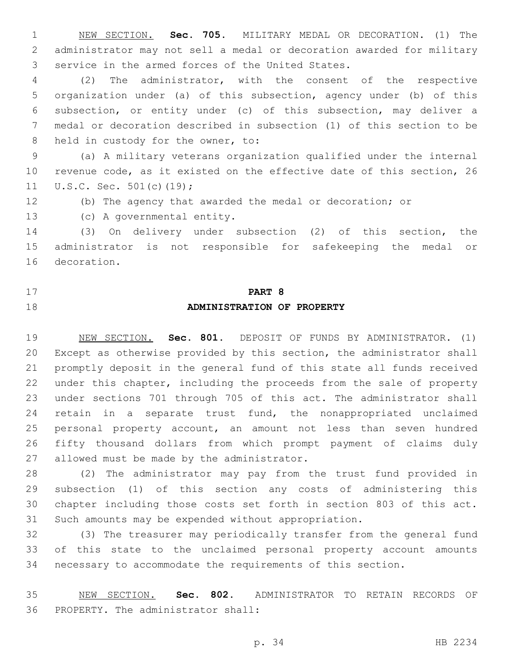NEW SECTION. **Sec. 705.** MILITARY MEDAL OR DECORATION. (1) The administrator may not sell a medal or decoration awarded for military service in the armed forces of the United States.

 (2) The administrator, with the consent of the respective organization under (a) of this subsection, agency under (b) of this subsection, or entity under (c) of this subsection, may deliver a medal or decoration described in subsection (1) of this section to be 8 held in custody for the owner, to:

 (a) A military veterans organization qualified under the internal revenue code, as it existed on the effective date of this section, 26 11 U.S.C. Sec. 501(c)(19);

(b) The agency that awarded the medal or decoration; or

13 (c) A governmental entity.

 (3) On delivery under subsection (2) of this section, the administrator is not responsible for safekeeping the medal or 16 decoration.

# **PART 8 ADMINISTRATION OF PROPERTY**

 NEW SECTION. **Sec. 801.** DEPOSIT OF FUNDS BY ADMINISTRATOR. (1) Except as otherwise provided by this section, the administrator shall promptly deposit in the general fund of this state all funds received under this chapter, including the proceeds from the sale of property under sections 701 through 705 of this act. The administrator shall retain in a separate trust fund, the nonappropriated unclaimed personal property account, an amount not less than seven hundred fifty thousand dollars from which prompt payment of claims duly 27 allowed must be made by the administrator.

 (2) The administrator may pay from the trust fund provided in subsection (1) of this section any costs of administering this chapter including those costs set forth in section 803 of this act. Such amounts may be expended without appropriation.

 (3) The treasurer may periodically transfer from the general fund of this state to the unclaimed personal property account amounts necessary to accommodate the requirements of this section.

 NEW SECTION. **Sec. 802.** ADMINISTRATOR TO RETAIN RECORDS OF PROPERTY. The administrator shall: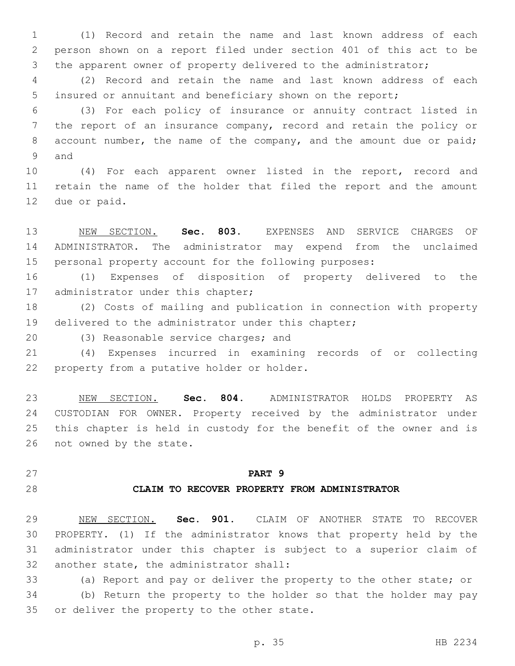(1) Record and retain the name and last known address of each person shown on a report filed under section 401 of this act to be the apparent owner of property delivered to the administrator;

 (2) Record and retain the name and last known address of each insured or annuitant and beneficiary shown on the report;

 (3) For each policy of insurance or annuity contract listed in the report of an insurance company, record and retain the policy or 8 account number, the name of the company, and the amount due or paid; 9 and

 (4) For each apparent owner listed in the report, record and retain the name of the holder that filed the report and the amount 12 due or paid.

 NEW SECTION. **Sec. 803.** EXPENSES AND SERVICE CHARGES OF ADMINISTRATOR. The administrator may expend from the unclaimed personal property account for the following purposes:

 (1) Expenses of disposition of property delivered to the 17 administrator under this chapter;

 (2) Costs of mailing and publication in connection with property delivered to the administrator under this chapter;

20 (3) Reasonable service charges; and

 (4) Expenses incurred in examining records of or collecting 22 property from a putative holder or holder.

 NEW SECTION. **Sec. 804.** ADMINISTRATOR HOLDS PROPERTY AS CUSTODIAN FOR OWNER. Property received by the administrator under this chapter is held in custody for the benefit of the owner and is not owned by the state.

# **PART 9**

#### **CLAIM TO RECOVER PROPERTY FROM ADMINISTRATOR**

 NEW SECTION. **Sec. 901.** CLAIM OF ANOTHER STATE TO RECOVER PROPERTY. (1) If the administrator knows that property held by the administrator under this chapter is subject to a superior claim of another state, the administrator shall:

 (a) Report and pay or deliver the property to the other state; or (b) Return the property to the holder so that the holder may pay

35 or deliver the property to the other state.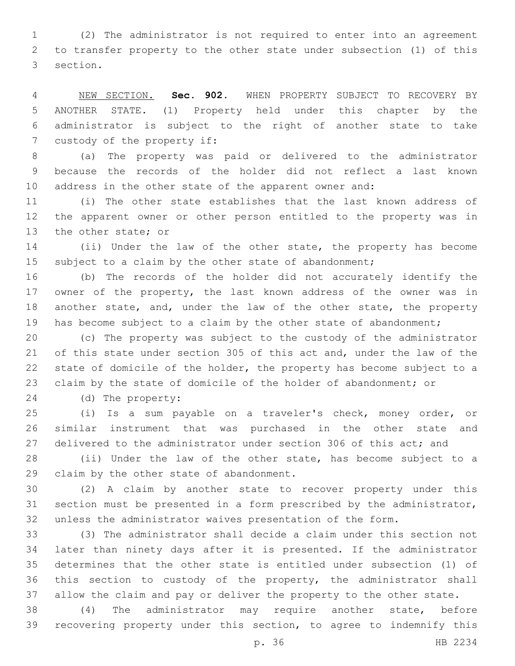(2) The administrator is not required to enter into an agreement to transfer property to the other state under subsection (1) of this 3 section.

 NEW SECTION. **Sec. 902.** WHEN PROPERTY SUBJECT TO RECOVERY BY ANOTHER STATE. (1) Property held under this chapter by the administrator is subject to the right of another state to take custody of the property if:

 (a) The property was paid or delivered to the administrator because the records of the holder did not reflect a last known address in the other state of the apparent owner and:

 (i) The other state establishes that the last known address of the apparent owner or other person entitled to the property was in 13 the other state; or

 (ii) Under the law of the other state, the property has become subject to a claim by the other state of abandonment;

 (b) The records of the holder did not accurately identify the 17 owner of the property, the last known address of the owner was in 18 another state, and, under the law of the other state, the property 19 has become subject to a claim by the other state of abandonment;

 (c) The property was subject to the custody of the administrator of this state under section 305 of this act and, under the law of the state of domicile of the holder, the property has become subject to a claim by the state of domicile of the holder of abandonment; or

(d) The property:24

 (i) Is a sum payable on a traveler's check, money order, or similar instrument that was purchased in the other state and 27 delivered to the administrator under section 306 of this act; and

 (ii) Under the law of the other state, has become subject to a 29 claim by the other state of abandonment.

 (2) A claim by another state to recover property under this section must be presented in a form prescribed by the administrator, unless the administrator waives presentation of the form.

 (3) The administrator shall decide a claim under this section not later than ninety days after it is presented. If the administrator determines that the other state is entitled under subsection (1) of this section to custody of the property, the administrator shall allow the claim and pay or deliver the property to the other state.

 (4) The administrator may require another state, before recovering property under this section, to agree to indemnify this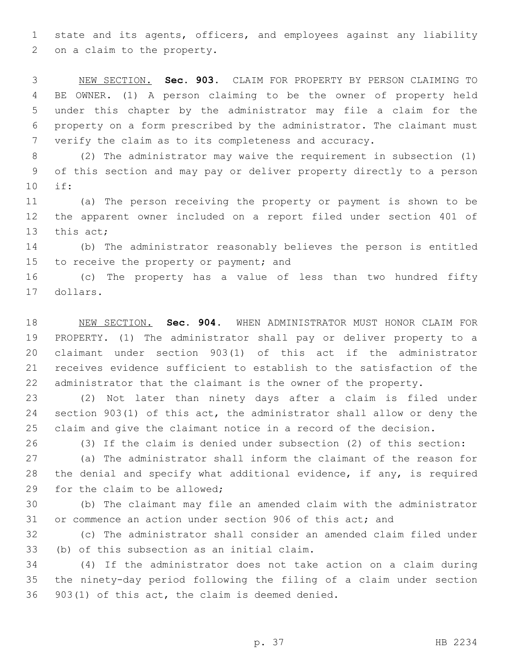state and its agents, officers, and employees against any liability 2 on a claim to the property.

 NEW SECTION. **Sec. 903.** CLAIM FOR PROPERTY BY PERSON CLAIMING TO BE OWNER. (1) A person claiming to be the owner of property held under this chapter by the administrator may file a claim for the property on a form prescribed by the administrator. The claimant must verify the claim as to its completeness and accuracy.

 (2) The administrator may waive the requirement in subsection (1) of this section and may pay or deliver property directly to a person if:10

 (a) The person receiving the property or payment is shown to be the apparent owner included on a report filed under section 401 of 13 this act;

 (b) The administrator reasonably believes the person is entitled 15 to receive the property or payment; and

 (c) The property has a value of less than two hundred fifty 17 dollars.

 NEW SECTION. **Sec. 904.** WHEN ADMINISTRATOR MUST HONOR CLAIM FOR PROPERTY. (1) The administrator shall pay or deliver property to a claimant under section 903(1) of this act if the administrator receives evidence sufficient to establish to the satisfaction of the administrator that the claimant is the owner of the property.

 (2) Not later than ninety days after a claim is filed under section 903(1) of this act, the administrator shall allow or deny the claim and give the claimant notice in a record of the decision.

(3) If the claim is denied under subsection (2) of this section:

 (a) The administrator shall inform the claimant of the reason for the denial and specify what additional evidence, if any, is required 29 for the claim to be allowed;

 (b) The claimant may file an amended claim with the administrator or commence an action under section 906 of this act; and

 (c) The administrator shall consider an amended claim filed under 33 (b) of this subsection as an initial claim.

 (4) If the administrator does not take action on a claim during the ninety-day period following the filing of a claim under section  $903(1)$  of this act, the claim is deemed denied.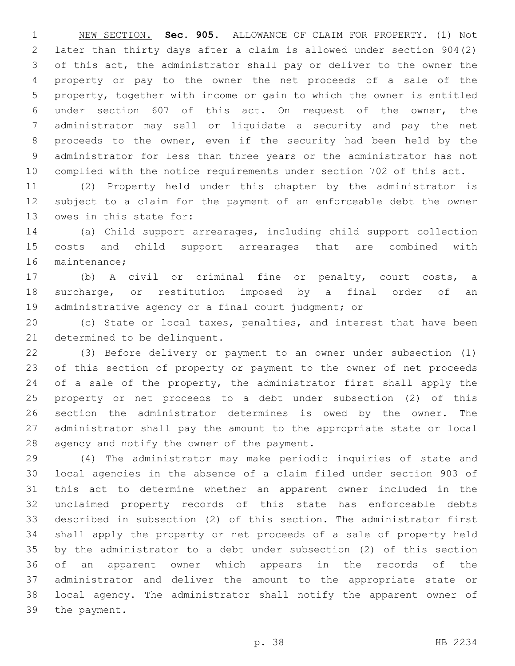NEW SECTION. **Sec. 905.** ALLOWANCE OF CLAIM FOR PROPERTY. (1) Not later than thirty days after a claim is allowed under section 904(2) of this act, the administrator shall pay or deliver to the owner the property or pay to the owner the net proceeds of a sale of the property, together with income or gain to which the owner is entitled under section 607 of this act. On request of the owner, the administrator may sell or liquidate a security and pay the net proceeds to the owner, even if the security had been held by the administrator for less than three years or the administrator has not complied with the notice requirements under section 702 of this act.

 (2) Property held under this chapter by the administrator is subject to a claim for the payment of an enforceable debt the owner 13 owes in this state for:

 (a) Child support arrearages, including child support collection costs and child support arrearages that are combined with 16 maintenance;

 (b) A civil or criminal fine or penalty, court costs, a surcharge, or restitution imposed by a final order of an administrative agency or a final court judgment; or

 (c) State or local taxes, penalties, and interest that have been 21 determined to be delinquent.

 (3) Before delivery or payment to an owner under subsection (1) of this section of property or payment to the owner of net proceeds 24 of a sale of the property, the administrator first shall apply the property or net proceeds to a debt under subsection (2) of this section the administrator determines is owed by the owner. The administrator shall pay the amount to the appropriate state or local 28 agency and notify the owner of the payment.

 (4) The administrator may make periodic inquiries of state and local agencies in the absence of a claim filed under section 903 of this act to determine whether an apparent owner included in the unclaimed property records of this state has enforceable debts described in subsection (2) of this section. The administrator first shall apply the property or net proceeds of a sale of property held by the administrator to a debt under subsection (2) of this section of an apparent owner which appears in the records of the administrator and deliver the amount to the appropriate state or local agency. The administrator shall notify the apparent owner of 39 the payment.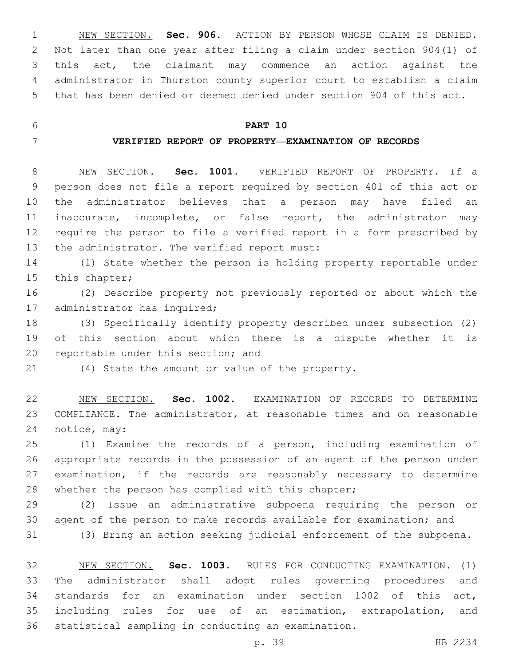NEW SECTION. **Sec. 906.** ACTION BY PERSON WHOSE CLAIM IS DENIED. Not later than one year after filing a claim under section 904(1) of this act, the claimant may commence an action against the administrator in Thurston county superior court to establish a claim that has been denied or deemed denied under section 904 of this act.

# **PART 10**

## **VERIFIED REPORT OF PROPERTY—EXAMINATION OF RECORDS**

 NEW SECTION. **Sec. 1001.** VERIFIED REPORT OF PROPERTY. If a person does not file a report required by section 401 of this act or the administrator believes that a person may have filed an inaccurate, incomplete, or false report, the administrator may require the person to file a verified report in a form prescribed by the administrator. The verified report must:

 (1) State whether the person is holding property reportable under 15 this chapter;

 (2) Describe property not previously reported or about which the 17 administrator has inquired;

 (3) Specifically identify property described under subsection (2) of this section about which there is a dispute whether it is 20 reportable under this section; and

(4) State the amount or value of the property.

 NEW SECTION. **Sec. 1002.** EXAMINATION OF RECORDS TO DETERMINE COMPLIANCE. The administrator, at reasonable times and on reasonable notice, may:

 (1) Examine the records of a person, including examination of appropriate records in the possession of an agent of the person under examination, if the records are reasonably necessary to determine whether the person has complied with this chapter;

 (2) Issue an administrative subpoena requiring the person or agent of the person to make records available for examination; and (3) Bring an action seeking judicial enforcement of the subpoena.

 NEW SECTION. **Sec. 1003.** RULES FOR CONDUCTING EXAMINATION. (1) The administrator shall adopt rules governing procedures and standards for an examination under section 1002 of this act, including rules for use of an estimation, extrapolation, and statistical sampling in conducting an examination.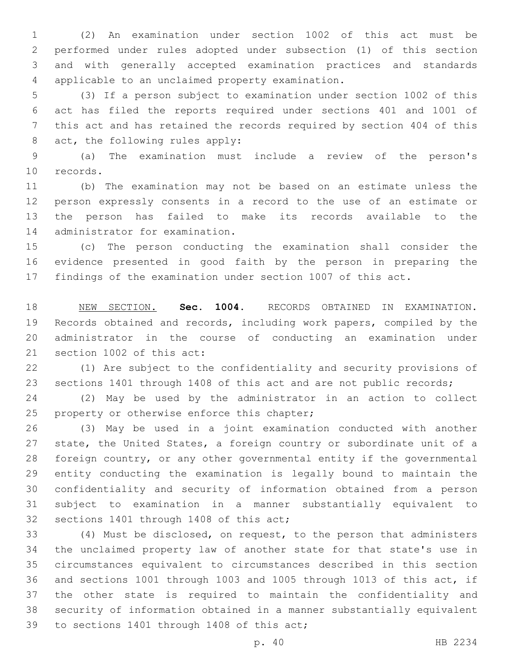(2) An examination under section 1002 of this act must be performed under rules adopted under subsection (1) of this section and with generally accepted examination practices and standards 4 applicable to an unclaimed property examination.

 (3) If a person subject to examination under section 1002 of this act has filed the reports required under sections 401 and 1001 of this act and has retained the records required by section 404 of this 8 act, the following rules apply:

 (a) The examination must include a review of the person's 10 records.

 (b) The examination may not be based on an estimate unless the person expressly consents in a record to the use of an estimate or the person has failed to make its records available to the 14 administrator for examination.

 (c) The person conducting the examination shall consider the evidence presented in good faith by the person in preparing the findings of the examination under section 1007 of this act.

 NEW SECTION. **Sec. 1004.** RECORDS OBTAINED IN EXAMINATION. Records obtained and records, including work papers, compiled by the administrator in the course of conducting an examination under section 1002 of this act:

 (1) Are subject to the confidentiality and security provisions of sections 1401 through 1408 of this act and are not public records;

 (2) May be used by the administrator in an action to collect 25 property or otherwise enforce this chapter;

 (3) May be used in a joint examination conducted with another state, the United States, a foreign country or subordinate unit of a foreign country, or any other governmental entity if the governmental entity conducting the examination is legally bound to maintain the confidentiality and security of information obtained from a person subject to examination in a manner substantially equivalent to 32 sections 1401 through 1408 of this act;

 (4) Must be disclosed, on request, to the person that administers the unclaimed property law of another state for that state's use in circumstances equivalent to circumstances described in this section and sections 1001 through 1003 and 1005 through 1013 of this act, if the other state is required to maintain the confidentiality and security of information obtained in a manner substantially equivalent 39 to sections 1401 through 1408 of this act;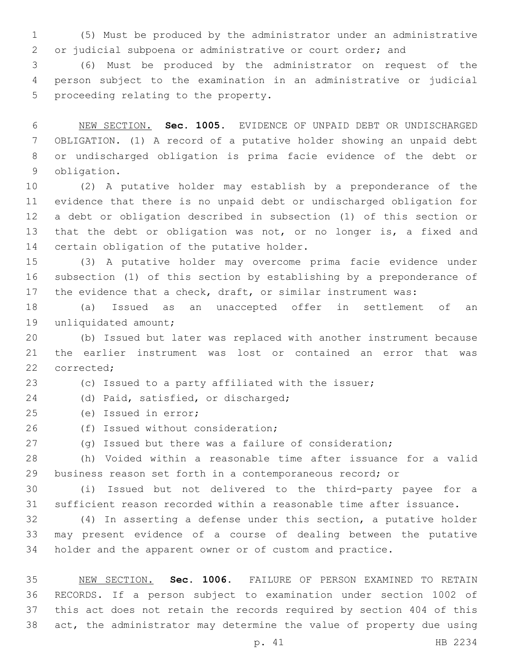(5) Must be produced by the administrator under an administrative or judicial subpoena or administrative or court order; and

 (6) Must be produced by the administrator on request of the person subject to the examination in an administrative or judicial 5 proceeding relating to the property.

 NEW SECTION. **Sec. 1005.** EVIDENCE OF UNPAID DEBT OR UNDISCHARGED OBLIGATION. (1) A record of a putative holder showing an unpaid debt or undischarged obligation is prima facie evidence of the debt or obligation.

 (2) A putative holder may establish by a preponderance of the evidence that there is no unpaid debt or undischarged obligation for a debt or obligation described in subsection (1) of this section or 13 that the debt or obligation was not, or no longer is, a fixed and 14 certain obligation of the putative holder.

 (3) A putative holder may overcome prima facie evidence under subsection (1) of this section by establishing by a preponderance of 17 the evidence that a check, draft, or similar instrument was:

 (a) Issued as an unaccepted offer in settlement of an 19 unliquidated amount;

 (b) Issued but later was replaced with another instrument because the earlier instrument was lost or contained an error that was 22 corrected:

(c) Issued to a party affiliated with the issuer;

24 (d) Paid, satisfied, or discharged;

(e) Issued in error;25

26 (f) Issued without consideration;

(g) Issued but there was a failure of consideration;

 (h) Voided within a reasonable time after issuance for a valid business reason set forth in a contemporaneous record; or

 (i) Issued but not delivered to the third-party payee for a sufficient reason recorded within a reasonable time after issuance.

 (4) In asserting a defense under this section, a putative holder may present evidence of a course of dealing between the putative holder and the apparent owner or of custom and practice.

 NEW SECTION. **Sec. 1006.** FAILURE OF PERSON EXAMINED TO RETAIN RECORDS. If a person subject to examination under section 1002 of this act does not retain the records required by section 404 of this act, the administrator may determine the value of property due using

p. 41 HB 2234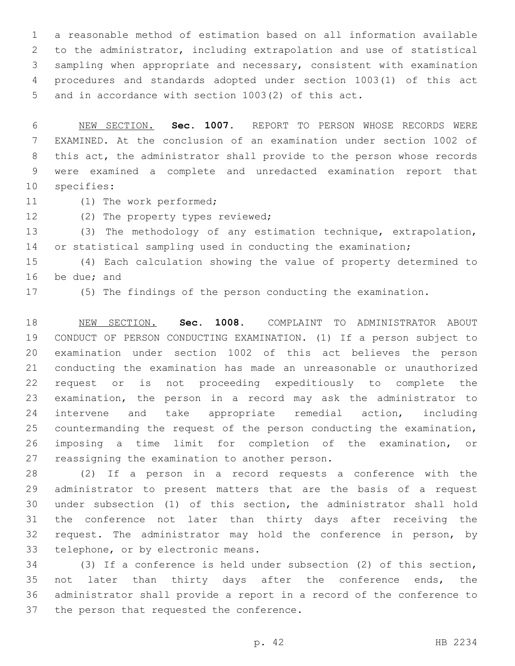a reasonable method of estimation based on all information available to the administrator, including extrapolation and use of statistical sampling when appropriate and necessary, consistent with examination procedures and standards adopted under section 1003(1) of this act and in accordance with section 1003(2) of this act.

 NEW SECTION. **Sec. 1007.** REPORT TO PERSON WHOSE RECORDS WERE EXAMINED. At the conclusion of an examination under section 1002 of this act, the administrator shall provide to the person whose records were examined a complete and unredacted examination report that specifies:

11 (1) The work performed;

12 (2) The property types reviewed;

 (3) The methodology of any estimation technique, extrapolation, 14 or statistical sampling used in conducting the examination;

 (4) Each calculation showing the value of property determined to 16 be due; and

(5) The findings of the person conducting the examination.

 NEW SECTION. **Sec. 1008.** COMPLAINT TO ADMINISTRATOR ABOUT CONDUCT OF PERSON CONDUCTING EXAMINATION. (1) If a person subject to examination under section 1002 of this act believes the person conducting the examination has made an unreasonable or unauthorized request or is not proceeding expeditiously to complete the examination, the person in a record may ask the administrator to intervene and take appropriate remedial action, including countermanding the request of the person conducting the examination, imposing a time limit for completion of the examination, or reassigning the examination to another person.

 (2) If a person in a record requests a conference with the administrator to present matters that are the basis of a request under subsection (1) of this section, the administrator shall hold the conference not later than thirty days after receiving the request. The administrator may hold the conference in person, by 33 telephone, or by electronic means.

 (3) If a conference is held under subsection (2) of this section, 35 not later than thirty days after the conference ends, the administrator shall provide a report in a record of the conference to 37 the person that requested the conference.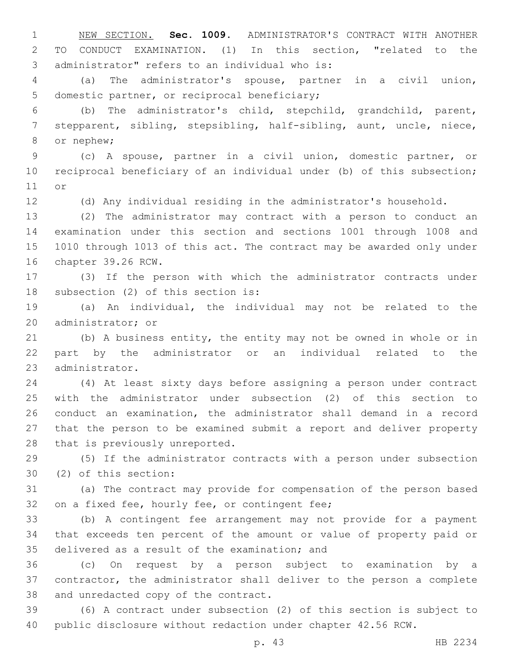NEW SECTION. **Sec. 1009.** ADMINISTRATOR'S CONTRACT WITH ANOTHER TO CONDUCT EXAMINATION. (1) In this section, "related to the administrator" refers to an individual who is:

 (a) The administrator's spouse, partner in a civil union, 5 domestic partner, or reciprocal beneficiary;

 (b) The administrator's child, stepchild, grandchild, parent, stepparent, sibling, stepsibling, half-sibling, aunt, uncle, niece, 8 or nephew;

 (c) A spouse, partner in a civil union, domestic partner, or reciprocal beneficiary of an individual under (b) of this subsection; 11 or

(d) Any individual residing in the administrator's household.

 (2) The administrator may contract with a person to conduct an examination under this section and sections 1001 through 1008 and 1010 through 1013 of this act. The contract may be awarded only under 16 chapter 39.26 RCW.

 (3) If the person with which the administrator contracts under 18 subsection (2) of this section is:

 (a) An individual, the individual may not be related to the 20 administrator; or

 (b) A business entity, the entity may not be owned in whole or in part by the administrator or an individual related to the 23 administrator.

 (4) At least sixty days before assigning a person under contract with the administrator under subsection (2) of this section to conduct an examination, the administrator shall demand in a record that the person to be examined submit a report and deliver property 28 that is previously unreported.

 (5) If the administrator contracts with a person under subsection (2) of this section:30

 (a) The contract may provide for compensation of the person based 32 on a fixed fee, hourly fee, or contingent fee;

 (b) A contingent fee arrangement may not provide for a payment that exceeds ten percent of the amount or value of property paid or 35 delivered as a result of the examination; and

 (c) On request by a person subject to examination by a contractor, the administrator shall deliver to the person a complete 38 and unredacted copy of the contract.

 (6) A contract under subsection (2) of this section is subject to public disclosure without redaction under chapter 42.56 RCW.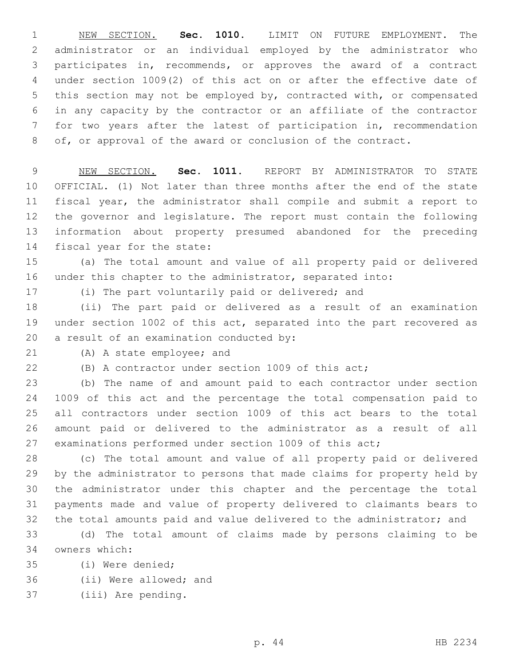NEW SECTION. **Sec. 1010.** LIMIT ON FUTURE EMPLOYMENT. The administrator or an individual employed by the administrator who participates in, recommends, or approves the award of a contract under section 1009(2) of this act on or after the effective date of this section may not be employed by, contracted with, or compensated in any capacity by the contractor or an affiliate of the contractor for two years after the latest of participation in, recommendation of, or approval of the award or conclusion of the contract.

 NEW SECTION. **Sec. 1011.** REPORT BY ADMINISTRATOR TO STATE OFFICIAL. (1) Not later than three months after the end of the state fiscal year, the administrator shall compile and submit a report to the governor and legislature. The report must contain the following information about property presumed abandoned for the preceding fiscal year for the state:

 (a) The total amount and value of all property paid or delivered under this chapter to the administrator, separated into:

(i) The part voluntarily paid or delivered; and

 (ii) The part paid or delivered as a result of an examination under section 1002 of this act, separated into the part recovered as 20 a result of an examination conducted by:

21 (A) A state employee; and

(B) A contractor under section 1009 of this act;

 (b) The name of and amount paid to each contractor under section 1009 of this act and the percentage the total compensation paid to all contractors under section 1009 of this act bears to the total amount paid or delivered to the administrator as a result of all examinations performed under section 1009 of this act;

 (c) The total amount and value of all property paid or delivered by the administrator to persons that made claims for property held by the administrator under this chapter and the percentage the total payments made and value of property delivered to claimants bears to the total amounts paid and value delivered to the administrator; and

 (d) The total amount of claims made by persons claiming to be owners which:34

(i) Were denied;35

36 (ii) Were allowed; and

37 (iii) Are pending.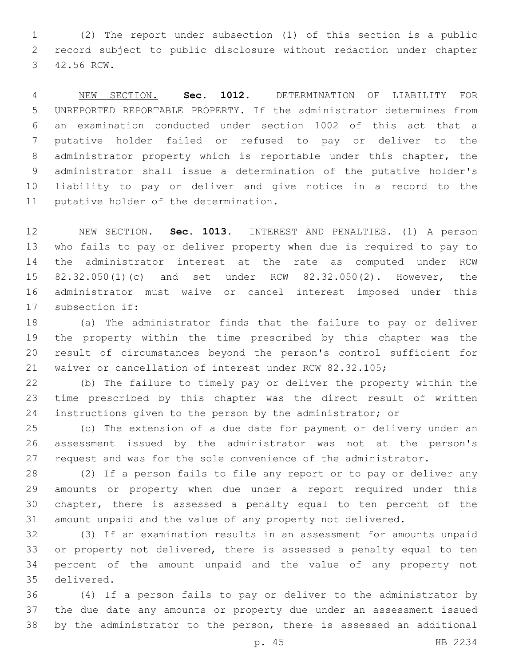(2) The report under subsection (1) of this section is a public record subject to public disclosure without redaction under chapter 3 42.56 RCW.

 NEW SECTION. **Sec. 1012.** DETERMINATION OF LIABILITY FOR UNREPORTED REPORTABLE PROPERTY. If the administrator determines from an examination conducted under section 1002 of this act that a putative holder failed or refused to pay or deliver to the administrator property which is reportable under this chapter, the administrator shall issue a determination of the putative holder's liability to pay or deliver and give notice in a record to the putative holder of the determination.

 NEW SECTION. **Sec. 1013.** INTEREST AND PENALTIES. (1) A person who fails to pay or deliver property when due is required to pay to the administrator interest at the rate as computed under RCW 82.32.050(1)(c) and set under RCW 82.32.050(2). However, the administrator must waive or cancel interest imposed under this subsection if:

 (a) The administrator finds that the failure to pay or deliver the property within the time prescribed by this chapter was the result of circumstances beyond the person's control sufficient for waiver or cancellation of interest under RCW 82.32.105;

 (b) The failure to timely pay or deliver the property within the time prescribed by this chapter was the direct result of written instructions given to the person by the administrator; or

 (c) The extension of a due date for payment or delivery under an assessment issued by the administrator was not at the person's request and was for the sole convenience of the administrator.

 (2) If a person fails to file any report or to pay or deliver any amounts or property when due under a report required under this chapter, there is assessed a penalty equal to ten percent of the amount unpaid and the value of any property not delivered.

 (3) If an examination results in an assessment for amounts unpaid or property not delivered, there is assessed a penalty equal to ten percent of the amount unpaid and the value of any property not delivered.35

 (4) If a person fails to pay or deliver to the administrator by the due date any amounts or property due under an assessment issued by the administrator to the person, there is assessed an additional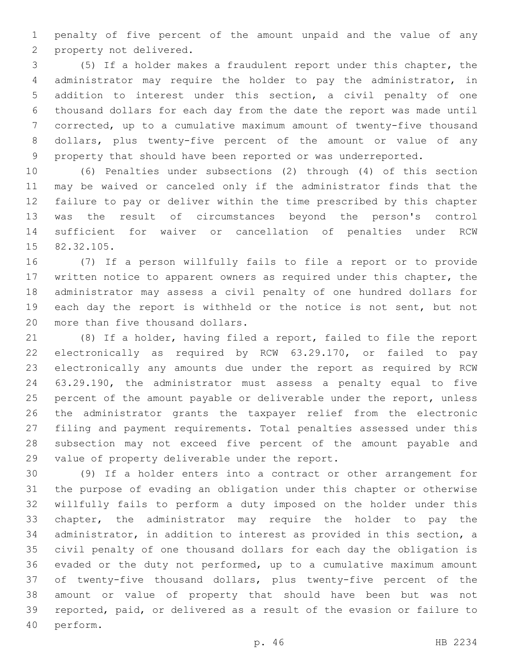penalty of five percent of the amount unpaid and the value of any 2 property not delivered.

 (5) If a holder makes a fraudulent report under this chapter, the administrator may require the holder to pay the administrator, in addition to interest under this section, a civil penalty of one thousand dollars for each day from the date the report was made until corrected, up to a cumulative maximum amount of twenty-five thousand dollars, plus twenty-five percent of the amount or value of any property that should have been reported or was underreported.

 (6) Penalties under subsections (2) through (4) of this section may be waived or canceled only if the administrator finds that the failure to pay or deliver within the time prescribed by this chapter was the result of circumstances beyond the person's control sufficient for waiver or cancellation of penalties under RCW 15 82.32.105.

 (7) If a person willfully fails to file a report or to provide written notice to apparent owners as required under this chapter, the administrator may assess a civil penalty of one hundred dollars for 19 each day the report is withheld or the notice is not sent, but not 20 more than five thousand dollars.

 (8) If a holder, having filed a report, failed to file the report electronically as required by RCW 63.29.170, or failed to pay electronically any amounts due under the report as required by RCW 63.29.190, the administrator must assess a penalty equal to five 25 percent of the amount payable or deliverable under the report, unless the administrator grants the taxpayer relief from the electronic filing and payment requirements. Total penalties assessed under this subsection may not exceed five percent of the amount payable and 29 value of property deliverable under the report.

 (9) If a holder enters into a contract or other arrangement for the purpose of evading an obligation under this chapter or otherwise willfully fails to perform a duty imposed on the holder under this chapter, the administrator may require the holder to pay the administrator, in addition to interest as provided in this section, a civil penalty of one thousand dollars for each day the obligation is evaded or the duty not performed, up to a cumulative maximum amount of twenty-five thousand dollars, plus twenty-five percent of the amount or value of property that should have been but was not reported, paid, or delivered as a result of the evasion or failure to 40 perform.

p. 46 HB 2234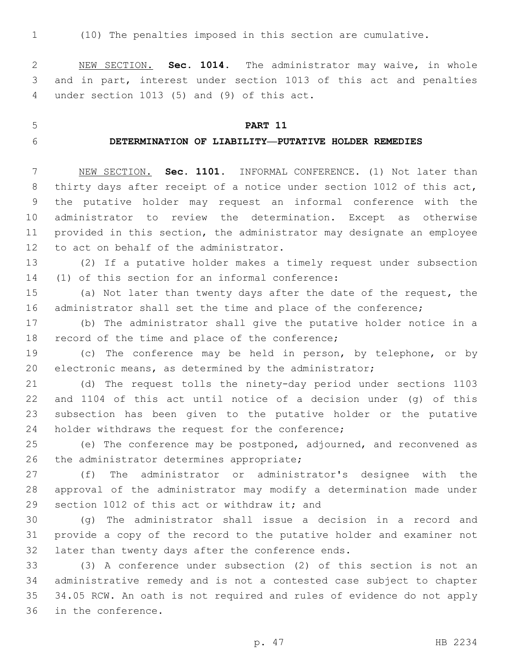(10) The penalties imposed in this section are cumulative.

 NEW SECTION. **Sec. 1014.** The administrator may waive, in whole and in part, interest under section 1013 of this act and penalties under section 1013 (5) and (9) of this act.

# **PART 11**

#### **DETERMINATION OF LIABILITY—PUTATIVE HOLDER REMEDIES**

 NEW SECTION. **Sec. 1101.** INFORMAL CONFERENCE. (1) Not later than thirty days after receipt of a notice under section 1012 of this act, the putative holder may request an informal conference with the administrator to review the determination. Except as otherwise provided in this section, the administrator may designate an employee 12 to act on behalf of the administrator.

 (2) If a putative holder makes a timely request under subsection 14 (1) of this section for an informal conference:

 (a) Not later than twenty days after the date of the request, the administrator shall set the time and place of the conference;

 (b) The administrator shall give the putative holder notice in a 18 record of the time and place of the conference;

 (c) The conference may be held in person, by telephone, or by electronic means, as determined by the administrator;

 (d) The request tolls the ninety-day period under sections 1103 and 1104 of this act until notice of a decision under (g) of this subsection has been given to the putative holder or the putative 24 holder withdraws the request for the conference;

 (e) The conference may be postponed, adjourned, and reconvened as 26 the administrator determines appropriate;

 (f) The administrator or administrator's designee with the approval of the administrator may modify a determination made under 29 section 1012 of this act or withdraw it; and

 (g) The administrator shall issue a decision in a record and provide a copy of the record to the putative holder and examiner not 32 later than twenty days after the conference ends.

 (3) A conference under subsection (2) of this section is not an administrative remedy and is not a contested case subject to chapter 34.05 RCW. An oath is not required and rules of evidence do not apply 36 in the conference.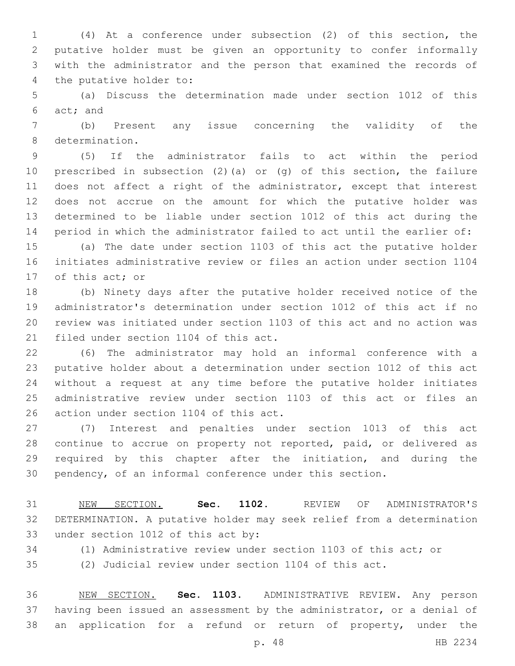(4) At a conference under subsection (2) of this section, the putative holder must be given an opportunity to confer informally with the administrator and the person that examined the records of 4 the putative holder to:

 (a) Discuss the determination made under section 1012 of this 6 act; and

 (b) Present any issue concerning the validity of the 8 determination.

 (5) If the administrator fails to act within the period prescribed in subsection (2)(a) or (g) of this section, the failure 11 does not affect a right of the administrator, except that interest does not accrue on the amount for which the putative holder was determined to be liable under section 1012 of this act during the period in which the administrator failed to act until the earlier of:

 (a) The date under section 1103 of this act the putative holder initiates administrative review or files an action under section 1104 17 of this act; or

 (b) Ninety days after the putative holder received notice of the administrator's determination under section 1012 of this act if no review was initiated under section 1103 of this act and no action was 21 filed under section 1104 of this act.

 (6) The administrator may hold an informal conference with a putative holder about a determination under section 1012 of this act without a request at any time before the putative holder initiates administrative review under section 1103 of this act or files an 26 action under section 1104 of this act.

 (7) Interest and penalties under section 1013 of this act continue to accrue on property not reported, paid, or delivered as required by this chapter after the initiation, and during the pendency, of an informal conference under this section.

 NEW SECTION. **Sec. 1102.** REVIEW OF ADMINISTRATOR'S DETERMINATION. A putative holder may seek relief from a determination under section 1012 of this act by:

(1) Administrative review under section 1103 of this act; or

(2) Judicial review under section 1104 of this act.

 NEW SECTION. **Sec. 1103.** ADMINISTRATIVE REVIEW. Any person having been issued an assessment by the administrator, or a denial of 38 an application for a refund or return of property, under the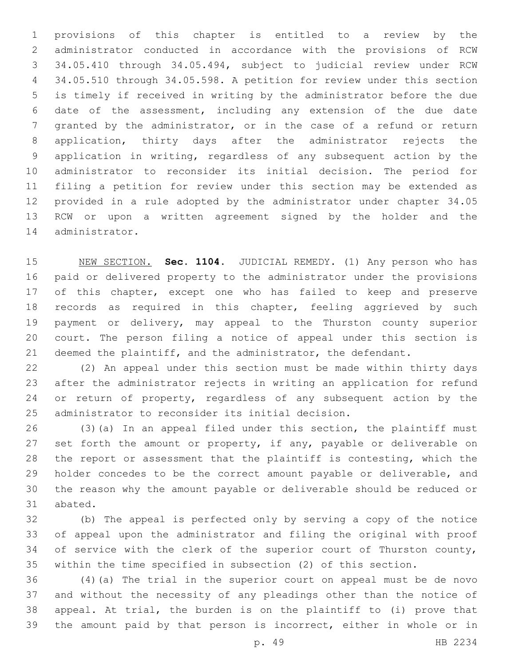provisions of this chapter is entitled to a review by the administrator conducted in accordance with the provisions of RCW 34.05.410 through 34.05.494, subject to judicial review under RCW 34.05.510 through 34.05.598. A petition for review under this section is timely if received in writing by the administrator before the due date of the assessment, including any extension of the due date granted by the administrator, or in the case of a refund or return application, thirty days after the administrator rejects the application in writing, regardless of any subsequent action by the administrator to reconsider its initial decision. The period for filing a petition for review under this section may be extended as provided in a rule adopted by the administrator under chapter 34.05 RCW or upon a written agreement signed by the holder and the 14 administrator.

 NEW SECTION. **Sec. 1104.** JUDICIAL REMEDY. (1) Any person who has paid or delivered property to the administrator under the provisions 17 of this chapter, except one who has failed to keep and preserve records as required in this chapter, feeling aggrieved by such payment or delivery, may appeal to the Thurston county superior court. The person filing a notice of appeal under this section is deemed the plaintiff, and the administrator, the defendant.

 (2) An appeal under this section must be made within thirty days after the administrator rejects in writing an application for refund 24 or return of property, regardless of any subsequent action by the 25 administrator to reconsider its initial decision.

 (3)(a) In an appeal filed under this section, the plaintiff must 27 set forth the amount or property, if any, payable or deliverable on the report or assessment that the plaintiff is contesting, which the holder concedes to be the correct amount payable or deliverable, and the reason why the amount payable or deliverable should be reduced or 31 abated.

 (b) The appeal is perfected only by serving a copy of the notice of appeal upon the administrator and filing the original with proof 34 of service with the clerk of the superior court of Thurston county, within the time specified in subsection (2) of this section.

 (4)(a) The trial in the superior court on appeal must be de novo and without the necessity of any pleadings other than the notice of appeal. At trial, the burden is on the plaintiff to (i) prove that the amount paid by that person is incorrect, either in whole or in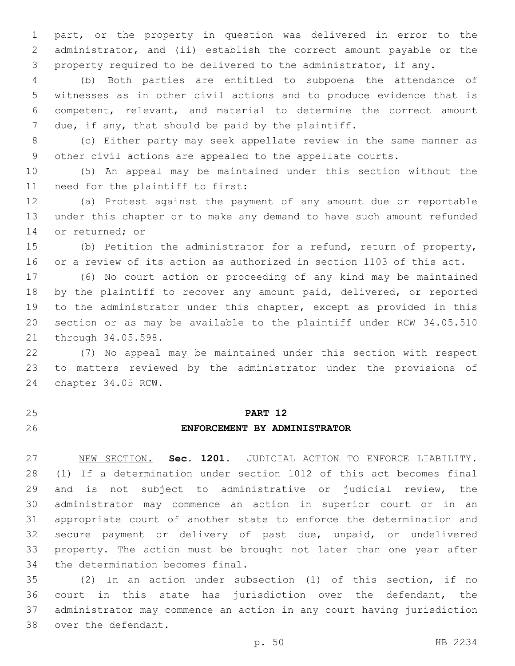part, or the property in question was delivered in error to the administrator, and (ii) establish the correct amount payable or the property required to be delivered to the administrator, if any.

 (b) Both parties are entitled to subpoena the attendance of witnesses as in other civil actions and to produce evidence that is competent, relevant, and material to determine the correct amount 7 due, if any, that should be paid by the plaintiff.

 (c) Either party may seek appellate review in the same manner as other civil actions are appealed to the appellate courts.

 (5) An appeal may be maintained under this section without the 11 need for the plaintiff to first:

 (a) Protest against the payment of any amount due or reportable under this chapter or to make any demand to have such amount refunded 14 or returned; or

 (b) Petition the administrator for a refund, return of property, or a review of its action as authorized in section 1103 of this act.

 (6) No court action or proceeding of any kind may be maintained by the plaintiff to recover any amount paid, delivered, or reported to the administrator under this chapter, except as provided in this section or as may be available to the plaintiff under RCW 34.05.510 21 through 34.05.598.

 (7) No appeal may be maintained under this section with respect to matters reviewed by the administrator under the provisions of 24 chapter 34.05 RCW.

#### **PART 12**

## **ENFORCEMENT BY ADMINISTRATOR**

 NEW SECTION. **Sec. 1201.** JUDICIAL ACTION TO ENFORCE LIABILITY. (1) If a determination under section 1012 of this act becomes final and is not subject to administrative or judicial review, the administrator may commence an action in superior court or in an appropriate court of another state to enforce the determination and secure payment or delivery of past due, unpaid, or undelivered property. The action must be brought not later than one year after the determination becomes final.

 (2) In an action under subsection (1) of this section, if no court in this state has jurisdiction over the defendant, the administrator may commence an action in any court having jurisdiction 38 over the defendant.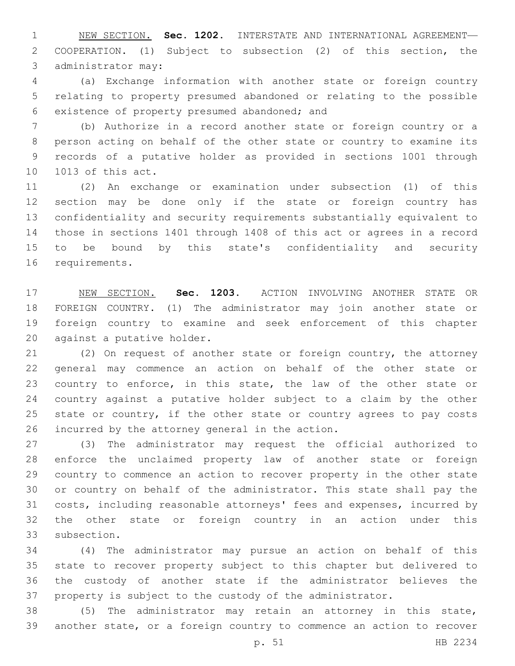NEW SECTION. **Sec. 1202.** INTERSTATE AND INTERNATIONAL AGREEMENT— COOPERATION. (1) Subject to subsection (2) of this section, the administrator may:

 (a) Exchange information with another state or foreign country relating to property presumed abandoned or relating to the possible 6 existence of property presumed abandoned; and

 (b) Authorize in a record another state or foreign country or a person acting on behalf of the other state or country to examine its records of a putative holder as provided in sections 1001 through 10 1013 of this act.

 (2) An exchange or examination under subsection (1) of this section may be done only if the state or foreign country has confidentiality and security requirements substantially equivalent to those in sections 1401 through 1408 of this act or agrees in a record to be bound by this state's confidentiality and security 16 requirements.

 NEW SECTION. **Sec. 1203.** ACTION INVOLVING ANOTHER STATE OR FOREIGN COUNTRY. (1) The administrator may join another state or foreign country to examine and seek enforcement of this chapter against a putative holder.

 (2) On request of another state or foreign country, the attorney general may commence an action on behalf of the other state or country to enforce, in this state, the law of the other state or country against a putative holder subject to a claim by the other state or country, if the other state or country agrees to pay costs 26 incurred by the attorney general in the action.

 (3) The administrator may request the official authorized to enforce the unclaimed property law of another state or foreign country to commence an action to recover property in the other state or country on behalf of the administrator. This state shall pay the costs, including reasonable attorneys' fees and expenses, incurred by the other state or foreign country in an action under this 33 subsection.

 (4) The administrator may pursue an action on behalf of this state to recover property subject to this chapter but delivered to the custody of another state if the administrator believes the property is subject to the custody of the administrator.

 (5) The administrator may retain an attorney in this state, another state, or a foreign country to commence an action to recover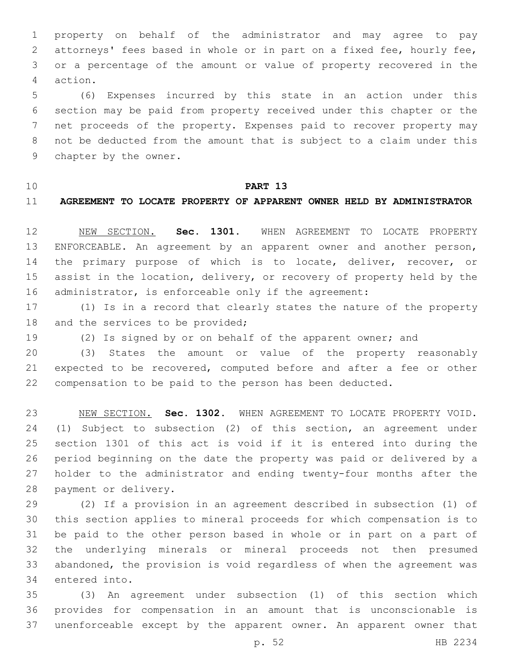property on behalf of the administrator and may agree to pay attorneys' fees based in whole or in part on a fixed fee, hourly fee, or a percentage of the amount or value of property recovered in the action.4

 (6) Expenses incurred by this state in an action under this section may be paid from property received under this chapter or the net proceeds of the property. Expenses paid to recover property may not be deducted from the amount that is subject to a claim under this 9 chapter by the owner.

# **PART 13**

# **AGREEMENT TO LOCATE PROPERTY OF APPARENT OWNER HELD BY ADMINISTRATOR**

 NEW SECTION. **Sec. 1301.** WHEN AGREEMENT TO LOCATE PROPERTY ENFORCEABLE. An agreement by an apparent owner and another person, 14 the primary purpose of which is to locate, deliver, recover, or assist in the location, delivery, or recovery of property held by the 16 administrator, is enforceable only if the agreement:

 (1) Is in a record that clearly states the nature of the property 18 and the services to be provided;

(2) Is signed by or on behalf of the apparent owner; and

 (3) States the amount or value of the property reasonably expected to be recovered, computed before and after a fee or other compensation to be paid to the person has been deducted.

 NEW SECTION. **Sec. 1302.** WHEN AGREEMENT TO LOCATE PROPERTY VOID. (1) Subject to subsection (2) of this section, an agreement under section 1301 of this act is void if it is entered into during the period beginning on the date the property was paid or delivered by a holder to the administrator and ending twenty-four months after the payment or delivery.

 (2) If a provision in an agreement described in subsection (1) of this section applies to mineral proceeds for which compensation is to be paid to the other person based in whole or in part on a part of the underlying minerals or mineral proceeds not then presumed abandoned, the provision is void regardless of when the agreement was 34 entered into.

 (3) An agreement under subsection (1) of this section which provides for compensation in an amount that is unconscionable is unenforceable except by the apparent owner. An apparent owner that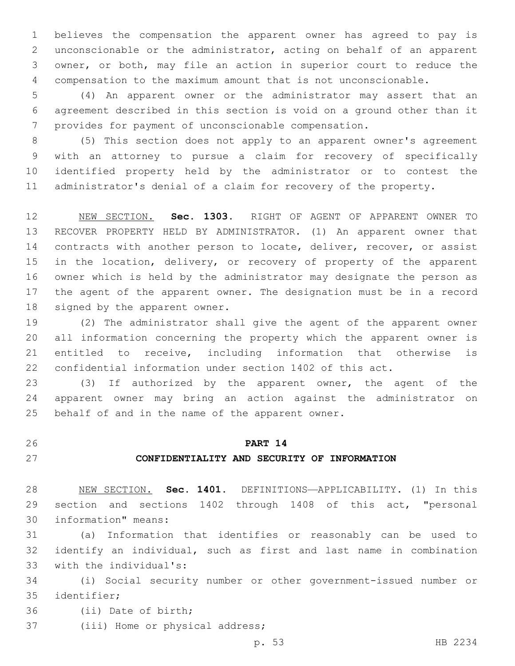believes the compensation the apparent owner has agreed to pay is unconscionable or the administrator, acting on behalf of an apparent owner, or both, may file an action in superior court to reduce the compensation to the maximum amount that is not unconscionable.

 (4) An apparent owner or the administrator may assert that an agreement described in this section is void on a ground other than it provides for payment of unconscionable compensation.

 (5) This section does not apply to an apparent owner's agreement with an attorney to pursue a claim for recovery of specifically identified property held by the administrator or to contest the administrator's denial of a claim for recovery of the property.

 NEW SECTION. **Sec. 1303.** RIGHT OF AGENT OF APPARENT OWNER TO RECOVER PROPERTY HELD BY ADMINISTRATOR. (1) An apparent owner that 14 contracts with another person to locate, deliver, recover, or assist 15 in the location, delivery, or recovery of property of the apparent owner which is held by the administrator may designate the person as the agent of the apparent owner. The designation must be in a record signed by the apparent owner.

 (2) The administrator shall give the agent of the apparent owner all information concerning the property which the apparent owner is entitled to receive, including information that otherwise is confidential information under section 1402 of this act.

 (3) If authorized by the apparent owner, the agent of the apparent owner may bring an action against the administrator on 25 behalf of and in the name of the apparent owner.

# **PART 14**

# **CONFIDENTIALITY AND SECURITY OF INFORMATION**

 NEW SECTION. **Sec. 1401.** DEFINITIONS—APPLICABILITY. (1) In this section and sections 1402 through 1408 of this act, "personal information" means:

 (a) Information that identifies or reasonably can be used to identify an individual, such as first and last name in combination 33 with the individual's:

 (i) Social security number or other government-issued number or 35 identifier;

36 (ii) Date of birth;

37 (iii) Home or physical address;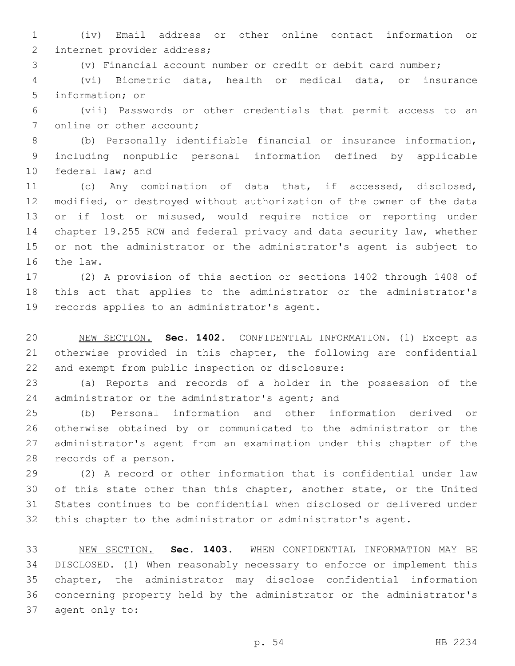(iv) Email address or other online contact information or 2 internet provider address;

(v) Financial account number or credit or debit card number;

 (vi) Biometric data, health or medical data, or insurance 5 information; or

 (vii) Passwords or other credentials that permit access to an 7 online or other account;

 (b) Personally identifiable financial or insurance information, including nonpublic personal information defined by applicable 10 federal law; and

 (c) Any combination of data that, if accessed, disclosed, modified, or destroyed without authorization of the owner of the data or if lost or misused, would require notice or reporting under chapter 19.255 RCW and federal privacy and data security law, whether or not the administrator or the administrator's agent is subject to 16 the law.

 (2) A provision of this section or sections 1402 through 1408 of this act that applies to the administrator or the administrator's 19 records applies to an administrator's agent.

 NEW SECTION. **Sec. 1402.** CONFIDENTIAL INFORMATION. (1) Except as otherwise provided in this chapter, the following are confidential and exempt from public inspection or disclosure:

 (a) Reports and records of a holder in the possession of the 24 administrator or the administrator's agent; and

 (b) Personal information and other information derived or otherwise obtained by or communicated to the administrator or the administrator's agent from an examination under this chapter of the 28 records of a person.

 (2) A record or other information that is confidential under law 30 of this state other than this chapter, another state, or the United States continues to be confidential when disclosed or delivered under this chapter to the administrator or administrator's agent.

 NEW SECTION. **Sec. 1403.** WHEN CONFIDENTIAL INFORMATION MAY BE DISCLOSED. (1) When reasonably necessary to enforce or implement this chapter, the administrator may disclose confidential information concerning property held by the administrator or the administrator's agent only to: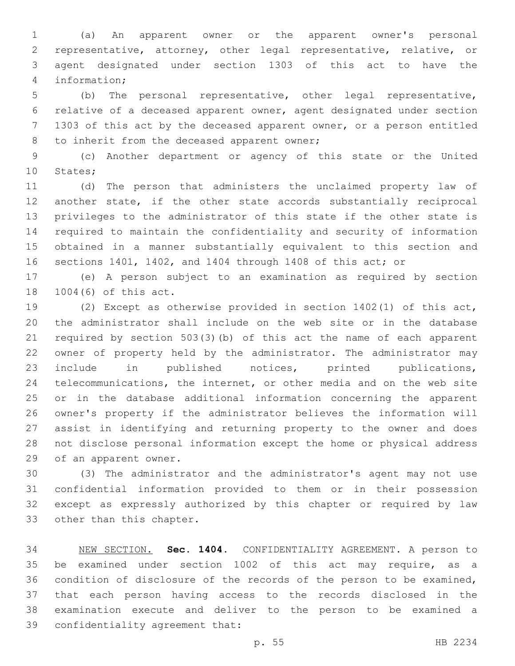(a) An apparent owner or the apparent owner's personal representative, attorney, other legal representative, relative, or agent designated under section 1303 of this act to have the information;4

 (b) The personal representative, other legal representative, relative of a deceased apparent owner, agent designated under section 1303 of this act by the deceased apparent owner, or a person entitled 8 to inherit from the deceased apparent owner;

 (c) Another department or agency of this state or the United 10 States;

 (d) The person that administers the unclaimed property law of another state, if the other state accords substantially reciprocal privileges to the administrator of this state if the other state is required to maintain the confidentiality and security of information obtained in a manner substantially equivalent to this section and sections 1401, 1402, and 1404 through 1408 of this act; or

 (e) A person subject to an examination as required by section 18 1004(6) of this act.

 (2) Except as otherwise provided in section 1402(1) of this act, the administrator shall include on the web site or in the database required by section 503(3)(b) of this act the name of each apparent owner of property held by the administrator. The administrator may include in published notices, printed publications, telecommunications, the internet, or other media and on the web site or in the database additional information concerning the apparent owner's property if the administrator believes the information will assist in identifying and returning property to the owner and does not disclose personal information except the home or physical address 29 of an apparent owner.

 (3) The administrator and the administrator's agent may not use confidential information provided to them or in their possession except as expressly authorized by this chapter or required by law 33 other than this chapter.

 NEW SECTION. **Sec. 1404.** CONFIDENTIALITY AGREEMENT. A person to be examined under section 1002 of this act may require, as a condition of disclosure of the records of the person to be examined, that each person having access to the records disclosed in the examination execute and deliver to the person to be examined a confidentiality agreement that: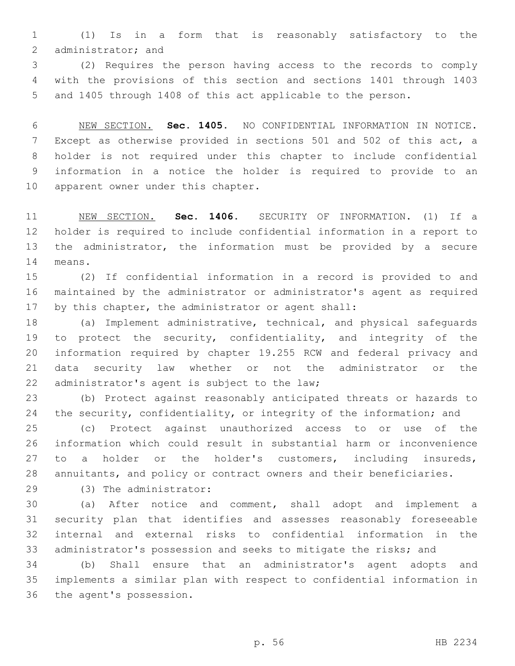(1) Is in a form that is reasonably satisfactory to the 2 administrator; and

 (2) Requires the person having access to the records to comply with the provisions of this section and sections 1401 through 1403 and 1405 through 1408 of this act applicable to the person.

 NEW SECTION. **Sec. 1405.** NO CONFIDENTIAL INFORMATION IN NOTICE. Except as otherwise provided in sections 501 and 502 of this act, a holder is not required under this chapter to include confidential information in a notice the holder is required to provide to an apparent owner under this chapter.

 NEW SECTION. **Sec. 1406.** SECURITY OF INFORMATION. (1) If a holder is required to include confidential information in a report to the administrator, the information must be provided by a secure means.

 (2) If confidential information in a record is provided to and maintained by the administrator or administrator's agent as required by this chapter, the administrator or agent shall:

 (a) Implement administrative, technical, and physical safeguards to protect the security, confidentiality, and integrity of the information required by chapter 19.255 RCW and federal privacy and data security law whether or not the administrator or the 22 administrator's agent is subject to the law;

 (b) Protect against reasonably anticipated threats or hazards to 24 the security, confidentiality, or integrity of the information; and

 (c) Protect against unauthorized access to or use of the information which could result in substantial harm or inconvenience to a holder or the holder's customers, including insureds, annuitants, and policy or contract owners and their beneficiaries.

(3) The administrator:29

 (a) After notice and comment, shall adopt and implement a security plan that identifies and assesses reasonably foreseeable internal and external risks to confidential information in the administrator's possession and seeks to mitigate the risks; and

 (b) Shall ensure that an administrator's agent adopts and implements a similar plan with respect to confidential information in 36 the agent's possession.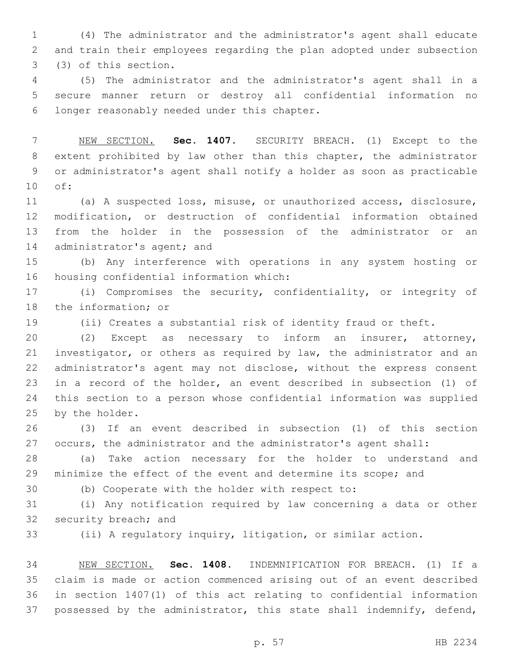(4) The administrator and the administrator's agent shall educate and train their employees regarding the plan adopted under subsection 3 (3) of this section.

 (5) The administrator and the administrator's agent shall in a secure manner return or destroy all confidential information no longer reasonably needed under this chapter.6

 NEW SECTION. **Sec. 1407.** SECURITY BREACH. (1) Except to the extent prohibited by law other than this chapter, the administrator or administrator's agent shall notify a holder as soon as practicable of:

 (a) A suspected loss, misuse, or unauthorized access, disclosure, modification, or destruction of confidential information obtained from the holder in the possession of the administrator or an 14 administrator's agent; and

 (b) Any interference with operations in any system hosting or 16 housing confidential information which:

 (i) Compromises the security, confidentiality, or integrity of 18 the information; or

(ii) Creates a substantial risk of identity fraud or theft.

 (2) Except as necessary to inform an insurer, attorney, investigator, or others as required by law, the administrator and an administrator's agent may not disclose, without the express consent in a record of the holder, an event described in subsection (1) of this section to a person whose confidential information was supplied 25 by the holder.

 (3) If an event described in subsection (1) of this section occurs, the administrator and the administrator's agent shall:

 (a) Take action necessary for the holder to understand and minimize the effect of the event and determine its scope; and

(b) Cooperate with the holder with respect to:

 (i) Any notification required by law concerning a data or other 32 security breach; and

(ii) A regulatory inquiry, litigation, or similar action.

 NEW SECTION. **Sec. 1408.** INDEMNIFICATION FOR BREACH. (1) If a claim is made or action commenced arising out of an event described in section 1407(1) of this act relating to confidential information possessed by the administrator, this state shall indemnify, defend,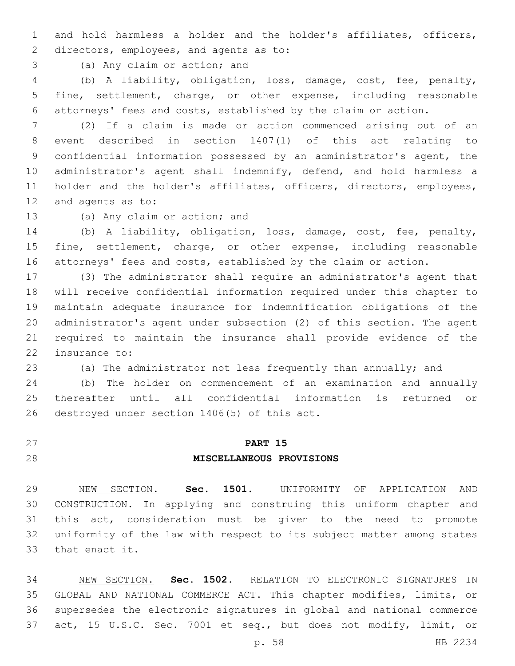and hold harmless a holder and the holder's affiliates, officers, 2 directors, employees, and agents as to:

3 (a) Any claim or action; and

 (b) A liability, obligation, loss, damage, cost, fee, penalty, fine, settlement, charge, or other expense, including reasonable attorneys' fees and costs, established by the claim or action.

 (2) If a claim is made or action commenced arising out of an event described in section 1407(1) of this act relating to confidential information possessed by an administrator's agent, the administrator's agent shall indemnify, defend, and hold harmless a 11 holder and the holder's affiliates, officers, directors, employees, 12 and agents as to:

13 (a) Any claim or action; and

 (b) A liability, obligation, loss, damage, cost, fee, penalty, fine, settlement, charge, or other expense, including reasonable attorneys' fees and costs, established by the claim or action.

 (3) The administrator shall require an administrator's agent that will receive confidential information required under this chapter to maintain adequate insurance for indemnification obligations of the administrator's agent under subsection (2) of this section. The agent required to maintain the insurance shall provide evidence of the 22 insurance to:

(a) The administrator not less frequently than annually; and

 (b) The holder on commencement of an examination and annually thereafter until all confidential information is returned or 26 destroyed under section 1406(5) of this act.

# **PART 15**

# **MISCELLANEOUS PROVISIONS**

 NEW SECTION. **Sec. 1501.** UNIFORMITY OF APPLICATION AND CONSTRUCTION. In applying and construing this uniform chapter and this act, consideration must be given to the need to promote uniformity of the law with respect to its subject matter among states that enact it.

 NEW SECTION. **Sec. 1502.** RELATION TO ELECTRONIC SIGNATURES IN GLOBAL AND NATIONAL COMMERCE ACT. This chapter modifies, limits, or supersedes the electronic signatures in global and national commerce act, 15 U.S.C. Sec. 7001 et seq., but does not modify, limit, or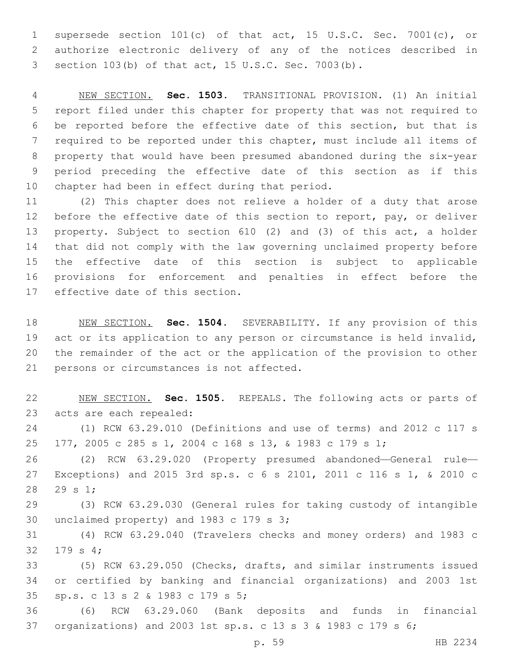supersede section 101(c) of that act, 15 U.S.C. Sec. 7001(c), or authorize electronic delivery of any of the notices described in section 103(b) of that act, 15 U.S.C. Sec. 7003(b).

 NEW SECTION. **Sec. 1503.** TRANSITIONAL PROVISION. (1) An initial report filed under this chapter for property that was not required to be reported before the effective date of this section, but that is required to be reported under this chapter, must include all items of property that would have been presumed abandoned during the six-year period preceding the effective date of this section as if this chapter had been in effect during that period.

 (2) This chapter does not relieve a holder of a duty that arose 12 before the effective date of this section to report, pay, or deliver property. Subject to section 610 (2) and (3) of this act, a holder that did not comply with the law governing unclaimed property before the effective date of this section is subject to applicable provisions for enforcement and penalties in effect before the 17 effective date of this section.

 NEW SECTION. **Sec. 1504.** SEVERABILITY. If any provision of this act or its application to any person or circumstance is held invalid, the remainder of the act or the application of the provision to other persons or circumstances is not affected.

 NEW SECTION. **Sec. 1505.** REPEALS. The following acts or parts of acts are each repealed:

 (1) RCW 63.29.010 (Definitions and use of terms) and 2012 c 117 s 177, 2005 c 285 s 1, 2004 c 168 s 13, & 1983 c 179 s 1;

 (2) RCW 63.29.020 (Property presumed abandoned—General rule— Exceptions) and 2015 3rd sp.s. c 6 s 2101, 2011 c 116 s 1, & 2010 c 28 29 s 1;

 (3) RCW 63.29.030 (General rules for taking custody of intangible 30 unclaimed property) and c  $179$  s  $3;$ 

 (4) RCW 63.29.040 (Travelers checks and money orders) and 1983 c 32 179 s 4;

 (5) RCW 63.29.050 (Checks, drafts, and similar instruments issued or certified by banking and financial organizations) and 2003 1st sp.s. c 13 s 2 & 1983 c 179 s 5;35

 (6) RCW 63.29.060 (Bank deposits and funds in financial organizations) and 2003 1st sp.s. c 13 s 3 & 1983 c 179 s 6;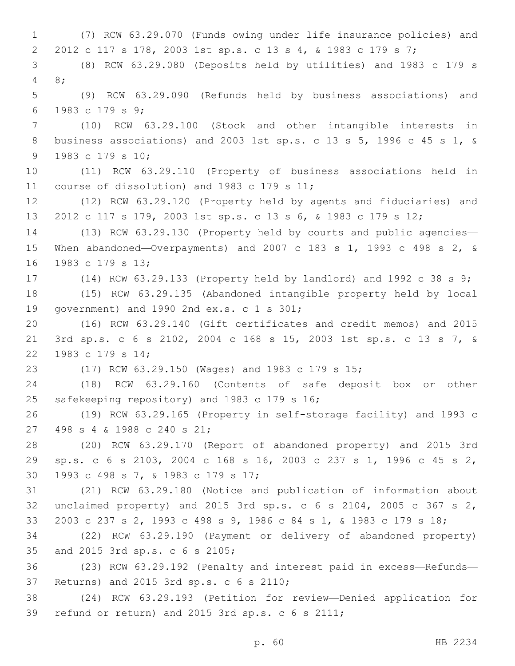(7) RCW 63.29.070 (Funds owing under life insurance policies) and 2012 c 117 s 178, 2003 1st sp.s. c 13 s 4, & 1983 c 179 s 7; (8) RCW 63.29.080 (Deposits held by utilities) and 1983 c 179 s 8;4 (9) RCW 63.29.090 (Refunds held by business associations) and 1983 c 179 s 9;6 (10) RCW 63.29.100 (Stock and other intangible interests in business associations) and 2003 1st sp.s. c 13 s 5, 1996 c 45 s 1, & 9 1983 c 179 s 10; (11) RCW 63.29.110 (Property of business associations held in 11 course of dissolution) and 1983 c 179 s 11; (12) RCW 63.29.120 (Property held by agents and fiduciaries) and 2012 c 117 s 179, 2003 1st sp.s. c 13 s 6, & 1983 c 179 s 12; (13) RCW 63.29.130 (Property held by courts and public agencies— When abandoned—Overpayments) and 2007 c 183 s 1, 1993 c 498 s 2, & 16 1983 c 179 s 13; (14) RCW 63.29.133 (Property held by landlord) and 1992 c 38 s 9; (15) RCW 63.29.135 (Abandoned intangible property held by local 19 qovernment) and 1990 2nd  $ex.s. c 1 s 301;$  (16) RCW 63.29.140 (Gift certificates and credit memos) and 2015 3rd sp.s. c 6 s 2102, 2004 c 168 s 15, 2003 1st sp.s. c 13 s 7, & 22 1983 c 179 s 14; (17) RCW 63.29.150 (Wages) and 1983 c 179 s 15; (18) RCW 63.29.160 (Contents of safe deposit box or other 25 safekeeping repository) and 1983 c 179 s 16; (19) RCW 63.29.165 (Property in self-storage facility) and 1993 c 27 498 s 4 & 1988 c 240 s 21; (20) RCW 63.29.170 (Report of abandoned property) and 2015 3rd sp.s. c 6 s 2103, 2004 c 168 s 16, 2003 c 237 s 1, 1996 c 45 s 2, 30 1993 c 498 s 7, & 1983 c 179 s 17; (21) RCW 63.29.180 (Notice and publication of information about unclaimed property) and 2015 3rd sp.s. c 6 s 2104, 2005 c 367 s 2, 2003 c 237 s 2, 1993 c 498 s 9, 1986 c 84 s 1, & 1983 c 179 s 18; (22) RCW 63.29.190 (Payment or delivery of abandoned property) 35 and 2015 3rd sp.s. c 6 s 2105; (23) RCW 63.29.192 (Penalty and interest paid in excess—Refunds— 37 Returns) and 2015 3rd sp.s. c 6 s 2110; (24) RCW 63.29.193 (Petition for review—Denied application for 39 refund or return) and 2015 3rd sp.s.  $c$  6 s 2111;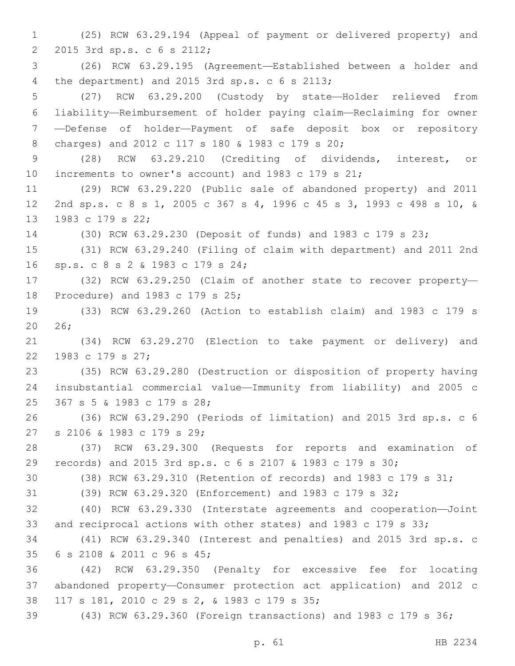(25) RCW 63.29.194 (Appeal of payment or delivered property) and 2 2015 3rd sp.s. c 6 s 2112; (26) RCW 63.29.195 (Agreement—Established between a holder and 4 the department) and 2015 3rd sp.s. c 6 s 2113; (27) RCW 63.29.200 (Custody by state—Holder relieved from liability—Reimbursement of holder paying claim—Reclaiming for owner —Defense of holder—Payment of safe deposit box or repository charges) and 2012 c 117 s 180 & 1983 c 179 s 20;8 (28) RCW 63.29.210 (Crediting of dividends, interest, or increments to owner's account) and 1983 c 179 s 21; (29) RCW 63.29.220 (Public sale of abandoned property) and 2011 2nd sp.s. c 8 s 1, 2005 c 367 s 4, 1996 c 45 s 3, 1993 c 498 s 10, & 13 1983 c 179 s 22; (30) RCW 63.29.230 (Deposit of funds) and 1983 c 179 s 23; (31) RCW 63.29.240 (Filing of claim with department) and 2011 2nd sp.s. c 8 s 2 & 1983 c 179 s 24;16 (32) RCW 63.29.250 (Claim of another state to recover property— 18 Procedure) and 1983 c 179 s 25; (33) RCW 63.29.260 (Action to establish claim) and 1983 c 179 s 20 26; (34) RCW 63.29.270 (Election to take payment or delivery) and 22 1983 c 179 s 27; (35) RCW 63.29.280 (Destruction or disposition of property having insubstantial commercial value—Immunity from liability) and 2005 c 25 367 s 5 & 1983 c 179 s 28; (36) RCW 63.29.290 (Periods of limitation) and 2015 3rd sp.s. c 6 27 s 2106 & 1983 c 179 s 29; (37) RCW 63.29.300 (Requests for reports and examination of records) and 2015 3rd sp.s. c 6 s 2107 & 1983 c 179 s 30; (38) RCW 63.29.310 (Retention of records) and 1983 c 179 s 31; (39) RCW 63.29.320 (Enforcement) and 1983 c 179 s 32; (40) RCW 63.29.330 (Interstate agreements and cooperation—Joint and reciprocal actions with other states) and 1983 c 179 s 33; (41) RCW 63.29.340 (Interest and penalties) and 2015 3rd sp.s. c 6 s 2108 & 2011 c 96 s 45;35 (42) RCW 63.29.350 (Penalty for excessive fee for locating abandoned property—Consumer protection act application) and 2012 c 38 117 s 181, 2010 c 29 s 2, & 1983 c 179 s 35; (43) RCW 63.29.360 (Foreign transactions) and 1983 c 179 s 36;